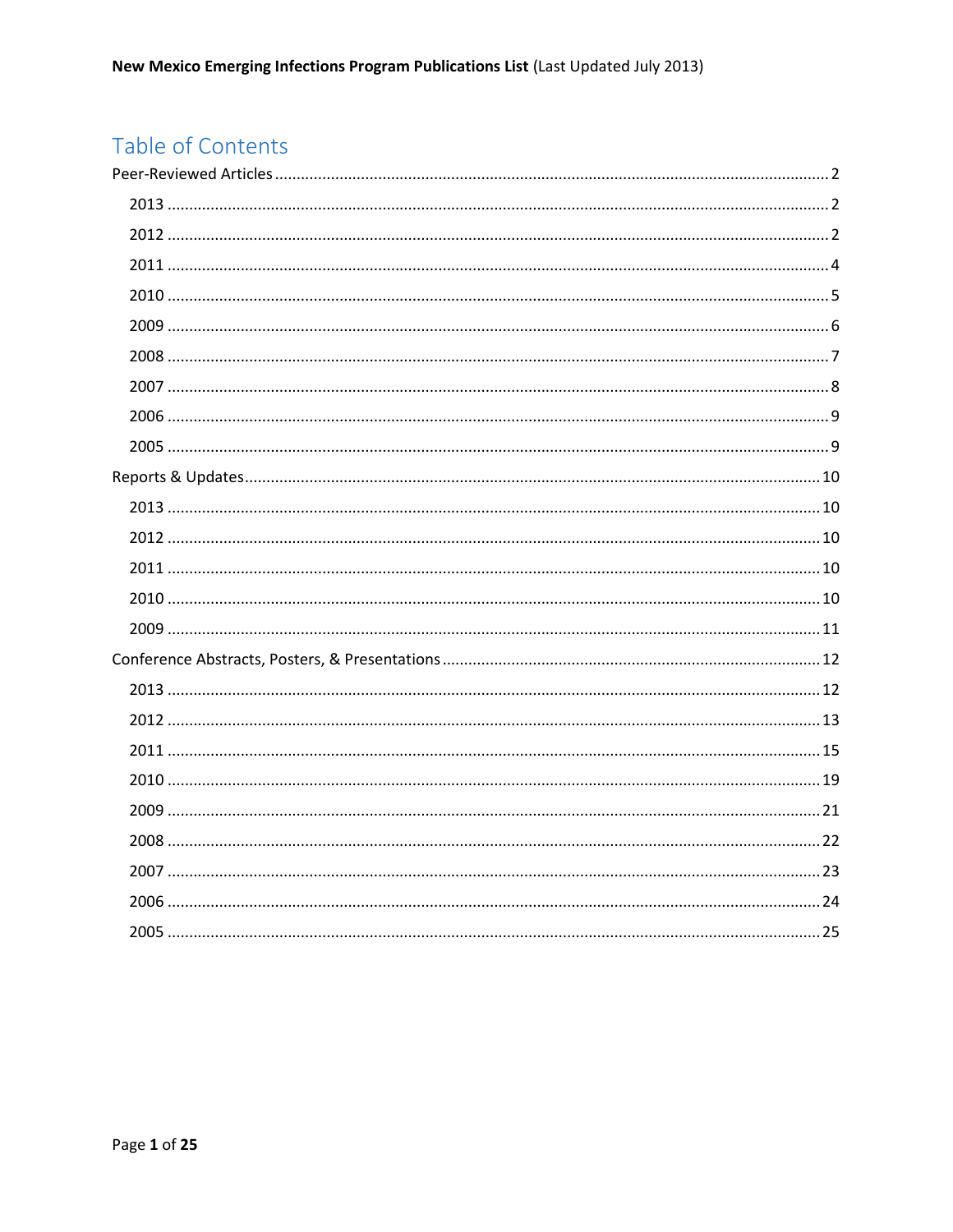# Table of Contents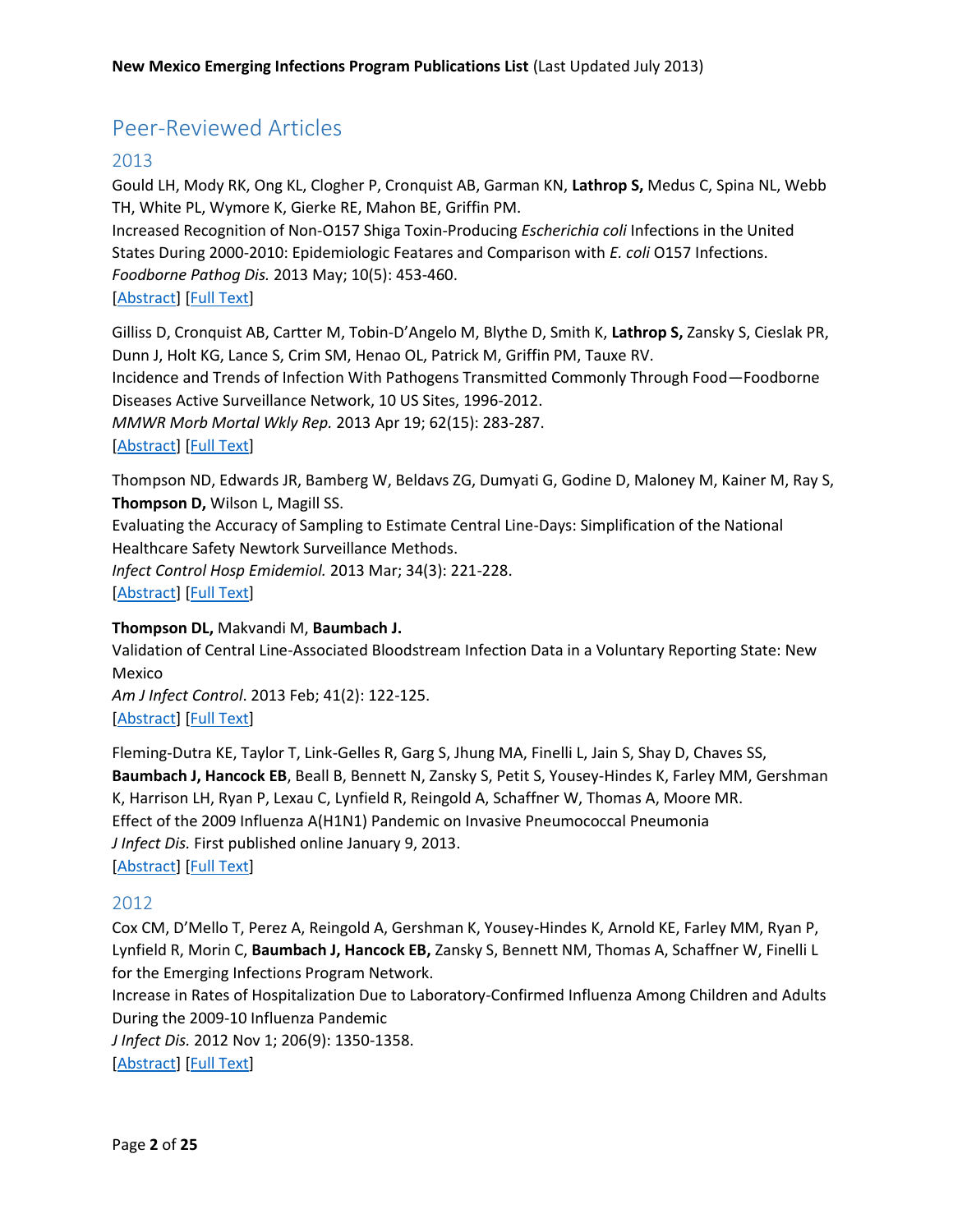# <span id="page-1-0"></span>Peer-Reviewed Articles

# <span id="page-1-1"></span>2013

Gould LH, Mody RK, Ong KL, Clogher P, Cronquist AB, Garman KN, **Lathrop S,** Medus C, Spina NL, Webb TH, White PL, Wymore K, Gierke RE, Mahon BE, Griffin PM.

Increased Recognition of Non-O157 Shiga Toxin-Producing *Escherichia coli* Infections in the United States During 2000-2010: Epidemiologic Featares and Comparison with *E. coli* O157 Infections. *Foodborne Pathog Dis.* 2013 May; 10(5): 453-460.

# [\[Abstract\]](http://www.ncbi.nlm.nih.gov/pubmed/23560425) [\[Full Text\]](http://click.liebertpubmail.com/?qs=2c3ebf61b1d01cc4db92ddaed8403e2a671e050f930d8d58dab0058b0addea43)

Gilliss D, Cronquist AB, Cartter M, Tobin-D'Angelo M, Blythe D, Smith K, **Lathrop S,** Zansky S, Cieslak PR, Dunn J, Holt KG, Lance S, Crim SM, Henao OL, Patrick M, Griffin PM, Tauxe RV.

Incidence and Trends of Infection With Pathogens Transmitted Commonly Through Food—Foodborne Diseases Active Surveillance Network, 10 US Sites, 1996-2012.

*MMWR Morb Mortal Wkly Rep.* 2013 Apr 19; 62(15): 283-287.

# [\[Abstract\]](http://www.ncbi.nlm.nih.gov/pubmed/23594684) [\[Full Text\]](http://www.cdc.gov/mmwr/preview/mmwrhtml/mm6215a2.htm?s_cid=mm6215a2_w)

Thompson ND, Edwards JR, Bamberg W, Beldavs ZG, Dumyati G, Godine D, Maloney M, Kainer M, Ray S, **Thompson D,** Wilson L, Magill SS.

Evaluating the Accuracy of Sampling to Estimate Central Line-Days: Simplification of the National Healthcare Safety Newtork Surveillance Methods.

*Infect Control Hosp Emidemiol.* 2013 Mar; 34(3): 221-228. [\[Abstract\]](http://www.ncbi.nlm.nih.gov/pubmed/23388355) [\[Full Text\]](http://www.jstor.org/stable/10.1086/669515)

# **Thompson DL,** Makvandi M, **Baumbach J.**

Validation of Central Line-Associated Bloodstream Infection Data in a Voluntary Reporting State: New Mexico *Am J Infect Control*. 2013 Feb; 41(2): 122-125.

[\[Abstract\]](http://www.ncbi.nlm.nih.gov/pubmed/23040607) [\[Full Text\]](http://download.journals.elsevierhealth.com/pdfs/journals/0196-6553/PIIS0196655312008048.pdf)

Fleming-Dutra KE, Taylor T, Link-Gelles R, Garg S, Jhung MA, Finelli L, Jain S, Shay D, Chaves SS, **Baumbach J, Hancock EB**, Beall B, Bennett N, Zansky S, Petit S, Yousey-Hindes K, Farley MM, Gershman K, Harrison LH, Ryan P, Lexau C, Lynfield R, Reingold A, Schaffner W, Thomas A, Moore MR. Effect of the 2009 Influenza A(H1N1) Pandemic on Invasive Pneumococcal Pneumonia *J Infect Dis.* First published online January 9, 2013. [\[Abstract\]](http://www.ncbi.nlm.nih.gov/pubmed/23303809) [\[Full Text\]](http://jid.oxfordjournals.org/content/early/2013/01/08/infdis.jit008.full.pdf+html?sid=c8da74f0-a892-46c1-ab5e-cf7c658f5531)

# <span id="page-1-2"></span>2012

Cox CM, D'Mello T, Perez A, Reingold A, Gershman K, Yousey-Hindes K, Arnold KE, Farley MM, Ryan P, Lynfield R, Morin C, **Baumbach J, Hancock EB,** Zansky S, Bennett NM, Thomas A, Schaffner W, Finelli L for the Emerging Infections Program Network.

Increase in Rates of Hospitalization Due to Laboratory-Confirmed Influenza Among Children and Adults During the 2009-10 Influenza Pandemic

*J Infect Dis.* 2012 Nov 1; 206(9): 1350-1358.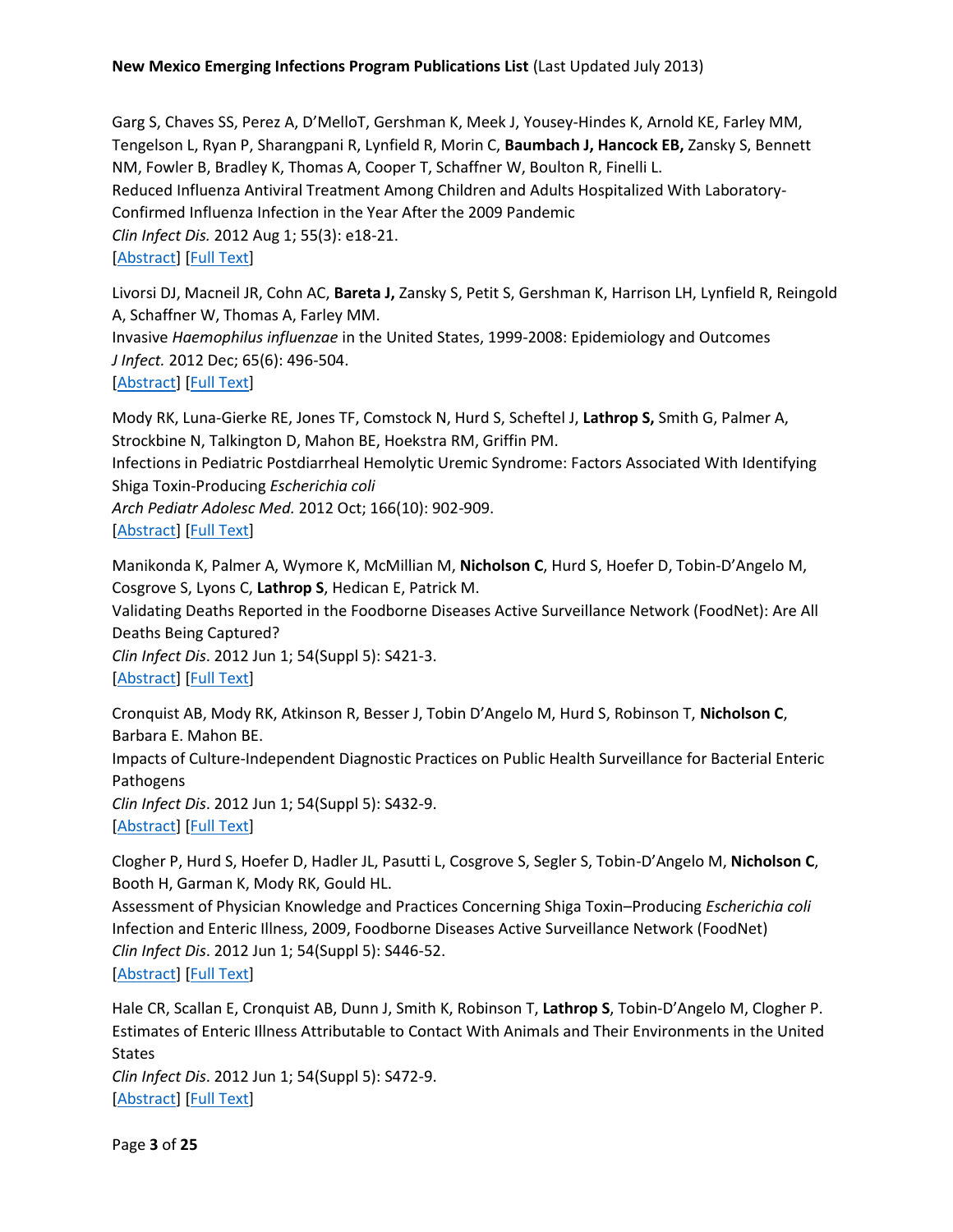Garg S, Chaves SS, Perez A, D'MelloT, Gershman K, Meek J, Yousey-Hindes K, Arnold KE, Farley MM, Tengelson L, Ryan P, Sharangpani R, Lynfield R, Morin C, **Baumbach J, Hancock EB,** Zansky S, Bennett NM, Fowler B, Bradley K, Thomas A, Cooper T, Schaffner W, Boulton R, Finelli L. Reduced Influenza Antiviral Treatment Among Children and Adults Hospitalized With Laboratory-Confirmed Influenza Infection in the Year After the 2009 Pandemic *Clin Infect Dis.* 2012 Aug 1; 55(3): e18-21. [\[Abstract\]](http://www.ncbi.nlm.nih.gov/pubmed/22543024) [\[Full Text\]](http://cid.oxfordjournals.org/content/55/3/e18.full.pdf+html?sid=4c4998f2-693a-430c-ac7b-4803d7b3c5db)

Livorsi DJ, Macneil JR, Cohn AC, **Bareta J,** Zansky S, Petit S, Gershman K, Harrison LH, Lynfield R, Reingold A, Schaffner W, Thomas A, Farley MM.

Invasive *Haemophilus influenzae* in the United States, 1999-2008: Epidemiology and Outcomes *J Infect.* 2012 Dec; 65(6): 496-504.

[\[Abstract\]](http://www.ncbi.nlm.nih.gov/pubmed/22902945) [\[Full Text\]](http://download.journals.elsevierhealth.com/pdfs/journals/0163-4453/PIIS0163445312002228.pdf)

Mody RK, Luna-Gierke RE, Jones TF, Comstock N, Hurd S, Scheftel J, **Lathrop S,** Smith G, Palmer A, Strockbine N, Talkington D, Mahon BE, Hoekstra RM, Griffin PM.

Infections in Pediatric Postdiarrheal Hemolytic Uremic Syndrome: Factors Associated With Identifying Shiga Toxin-Producing *Escherichia coli*

*Arch Pediatr Adolesc Med.* 2012 Oct; 166(10): 902-909.

# [\[Abstract\]](http://www.ncbi.nlm.nih.gov/pubmed/22869280) [\[Full Text\]](http://archpedi.jamanetwork.com/article.aspx?articleid=1262307)

Manikonda K, Palmer A, Wymore K, McMillian M, **Nicholson C**, Hurd S, Hoefer D, Tobin-D'Angelo M, Cosgrove S, Lyons C, **Lathrop S**, Hedican E, Patrick M.

Validating Deaths Reported in the Foodborne Diseases Active Surveillance Network (FoodNet): Are All Deaths Being Captured?

*Clin Infect Dis*. 2012 Jun 1; 54(Suppl 5): S421-3. [\[Abstract\]](http://www.ncbi.nlm.nih.gov/pubmed/22572664) [\[Full Text\]](http://cid.oxfordjournals.org/content/54/suppl_5/S421.full.pdf+html)

Cronquist AB, Mody RK, Atkinson R, Besser J, Tobin D'Angelo M, Hurd S, Robinson T, **Nicholson C**, Barbara E. Mahon BE.

Impacts of Culture-Independent Diagnostic Practices on Public Health Surveillance for Bacterial Enteric Pathogens

*Clin Infect Dis*. 2012 Jun 1; 54(Suppl 5): S432-9. [\[Abstract\]](http://www.ncbi.nlm.nih.gov/pubmed/22572666) [\[Full Text\]](http://cid.oxfordjournals.org/content/54/suppl_5/S432.full.pdf+html)

Clogher P, Hurd S, Hoefer D, Hadler JL, Pasutti L, Cosgrove S, Segler S, Tobin-D'Angelo M, **Nicholson C**, Booth H, Garman K, Mody RK, Gould HL.

Assessment of Physician Knowledge and Practices Concerning Shiga Toxin–Producing *Escherichia coli* Infection and Enteric Illness, 2009, Foodborne Diseases Active Surveillance Network (FoodNet) *Clin Infect Dis*. 2012 Jun 1; 54(Suppl 5): S446-52.

[\[Abstract\]](http://www.ncbi.nlm.nih.gov/pubmed/22572668) [\[Full Text\]](http://cid.oxfordjournals.org/content/54/suppl_5/S446.full.pdf+html)

Hale CR, Scallan E, Cronquist AB, Dunn J, Smith K, Robinson T, **Lathrop S**, Tobin-D'Angelo M, Clogher P. Estimates of Enteric Illness Attributable to Contact With Animals and Their Environments in the United States

*Clin Infect Dis*. 2012 Jun 1; 54(Suppl 5): S472-9. [\[Abstract\]](http://www.ncbi.nlm.nih.gov/pubmed/22572672) [\[Full Text\]](http://cid.oxfordjournals.org/content/54/suppl_5/S472.full.pdf+html)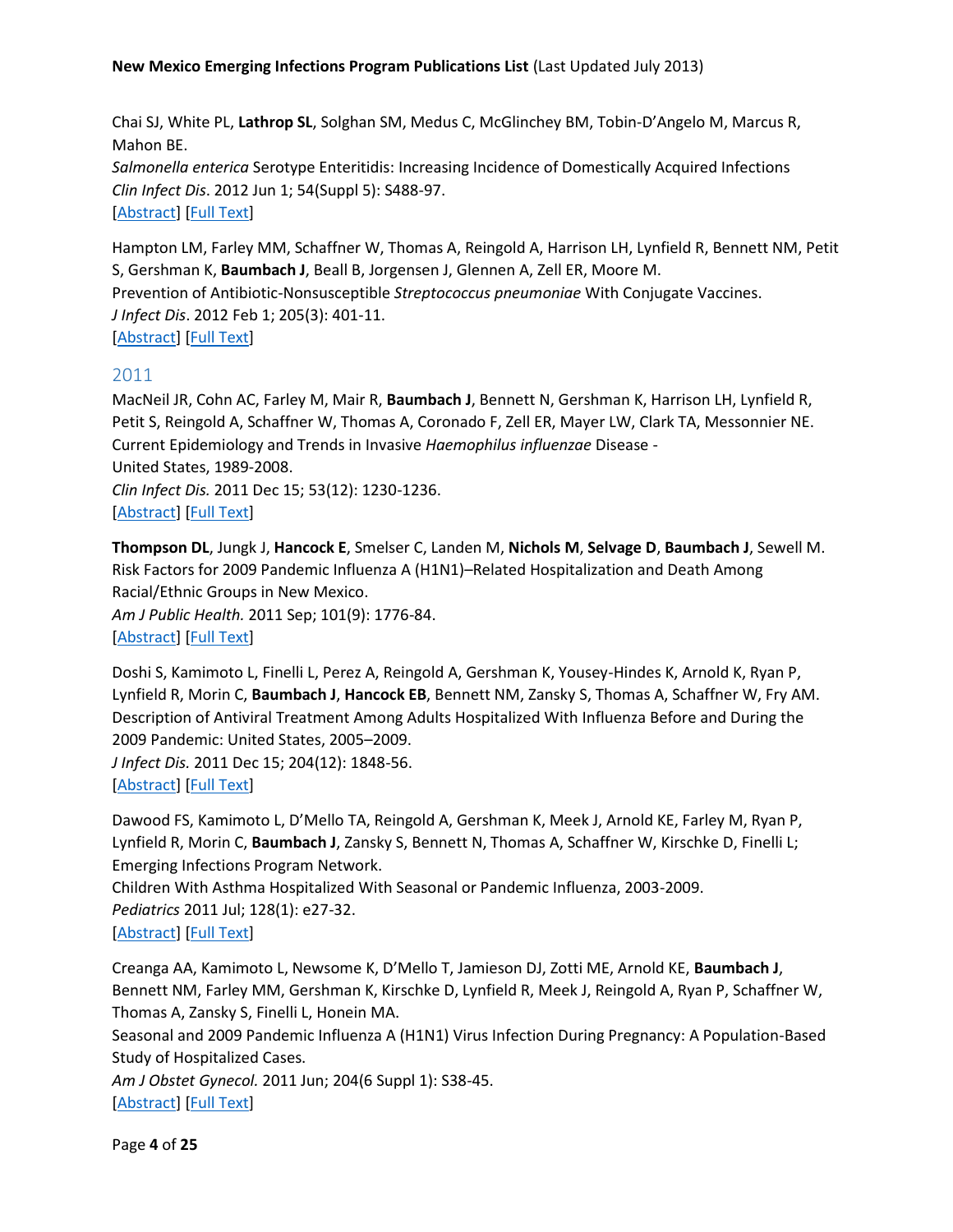Chai SJ, White PL, **Lathrop SL**, Solghan SM, Medus C, McGlinchey BM, Tobin-D'Angelo M, Marcus R, Mahon BE. *Salmonella enterica* Serotype Enteritidis: Increasing Incidence of Domestically Acquired Infections

*Clin Infect Dis*. 2012 Jun 1; 54(Suppl 5): S488-97. [\[Abstract\]](http://www.ncbi.nlm.nih.gov/pubmed/22572674) [\[Full Text\]](http://cid.oxfordjournals.org/content/54/suppl_5/S488.full.pdf+html)

Hampton LM, Farley MM, Schaffner W, Thomas A, Reingold A, Harrison LH, Lynfield R, Bennett NM, Petit S, Gershman K, **Baumbach J**, Beall B, Jorgensen J, Glennen A, Zell ER, Moore M. Prevention of Antibiotic-Nonsusceptible *Streptococcus pneumoniae* With Conjugate Vaccines. *J Infect Dis*. 2012 Feb 1; 205(3): 401-11. [\[Abstract\]](http://www.ncbi.nlm.nih.gov/pubmed/22158567) [\[Full Text\]](http://jid.oxfordjournals.org/content/205/3/401.full.pdf+html)

# <span id="page-3-0"></span>2011

MacNeil JR, Cohn AC, Farley M, Mair R, **Baumbach J**, Bennett N, Gershman K, Harrison LH, Lynfield R, Petit S, Reingold A, Schaffner W, Thomas A, Coronado F, Zell ER, Mayer LW, Clark TA, Messonnier NE. Current Epidemiology and Trends in Invasive *Haemophilus influenzae* Disease - United States, 1989-2008. *Clin Infect Dis.* 2011 Dec 15; 53(12): 1230-1236. [\[Abstract\]](http://www.ncbi.nlm.nih.gov/pubmed/22080119) [\[Full Text\]](http://cid.oxfordjournals.org/content/53/12/1230.full.pdf+html)

**Thompson DL**, Jungk J, **Hancock E**, Smelser C, Landen M, **Nichols M**, **Selvage D**, **Baumbach J**, Sewell M. Risk Factors for 2009 Pandemic Influenza A (H1N1)–Related Hospitalization and Death Among Racial/Ethnic Groups in New Mexico.

*Am J Public Health.* 2011 Sep; 101(9): 1776-84. [\[Abstract\]](http://www.ncbi.nlm.nih.gov/pubmed/21778495) [\[Full Text\]](http://ajph.aphapublications.org/doi/pdf/10.2105/AJPH.2011.300223)

Doshi S, Kamimoto L, Finelli L, Perez A, Reingold A, Gershman K, Yousey-Hindes K, Arnold K, Ryan P, Lynfield R, Morin C, **Baumbach J**, **Hancock EB**, Bennett NM, Zansky S, Thomas A, Schaffner W, Fry AM. Description of Antiviral Treatment Among Adults Hospitalized With Influenza Before and During the 2009 Pandemic: United States, 2005–2009.

*J Infect Dis.* 2011 Dec 15; 204(12): 1848-56.

[\[Abstract\]](http://www.ncbi.nlm.nih.gov/pubmed/22013219) [\[Full Text\]](http://jid.oxfordjournals.org/content/204/12/1848.full.pdf+html)

Dawood FS, Kamimoto L, D'Mello TA, Reingold A, Gershman K, Meek J, Arnold KE, Farley M, Ryan P, Lynfield R, Morin C, **Baumbach J**, Zansky S, Bennett N, Thomas A, Schaffner W, Kirschke D, Finelli L; Emerging Infections Program Network.

Children With Asthma Hospitalized With Seasonal or Pandemic Influenza, 2003-2009. *Pediatrics* 2011 Jul; 128(1): e27-32.

[\[Abstract\]](http://www.ncbi.nlm.nih.gov/pubmed/21646257) [\[Full Text\]](http://pediatrics.aappublications.org/content/128/1/e27.full.pdf+html)

Creanga AA, Kamimoto L, Newsome K, D'Mello T, Jamieson DJ, Zotti ME, Arnold KE, **Baumbach J**, Bennett NM, Farley MM, Gershman K, Kirschke D, Lynfield R, Meek J, Reingold A, Ryan P, Schaffner W, Thomas A, Zansky S, Finelli L, Honein MA.

Seasonal and 2009 Pandemic Influenza A (H1N1) Virus Infection During Pregnancy: A Population-Based Study of Hospitalized Cases.

*Am J Obstet Gynecol.* 2011 Jun; 204(6 Suppl 1): S38-45. [\[Abstract\]](http://www.ncbi.nlm.nih.gov/pubmed/21507375) [\[Full Text\]](http://download.journals.elsevierhealth.com/pdfs/journals/0002-9378/PIIS0002937811002274.pdf)

Page **4** of **25**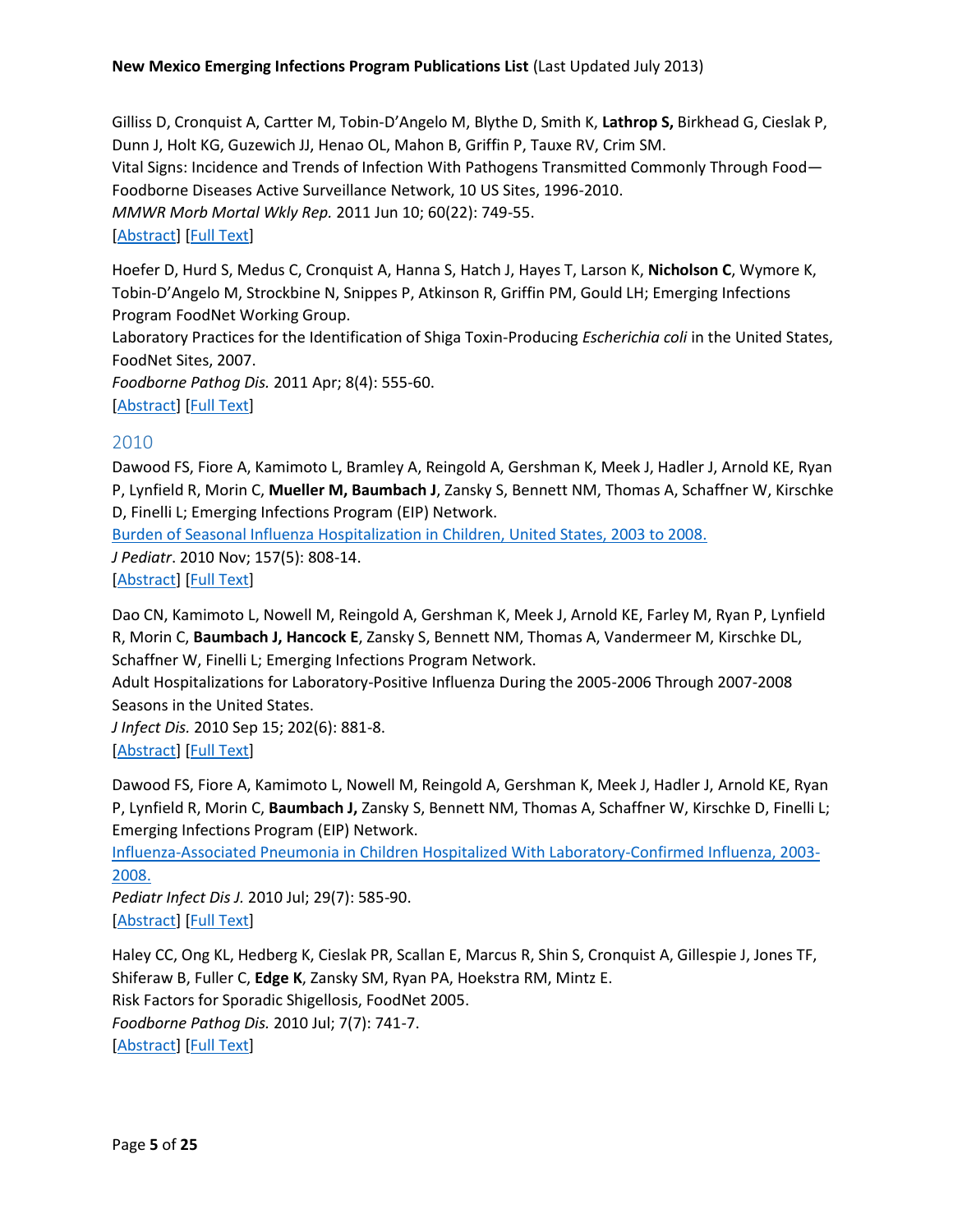Gilliss D, Cronquist A, Cartter M, Tobin-D'Angelo M, Blythe D, Smith K, **Lathrop S,** Birkhead G, Cieslak P, Dunn J, Holt KG, Guzewich JJ, Henao OL, Mahon B, Griffin P, Tauxe RV, Crim SM. Vital Signs: Incidence and Trends of Infection With Pathogens Transmitted Commonly Through Food— Foodborne Diseases Active Surveillance Network, 10 US Sites, 1996-2010. *MMWR Morb Mortal Wkly Rep.* 2011 Jun 10; 60(22): 749-55. [\[Abstract\]](http://www.ncbi.nlm.nih.gov/pubmed/21659984) [\[Full Text\]](http://www.cdc.gov/mmwr/preview/mmwrhtml/mm6022a5.htm?s_cid=mm6022a5_w)

Hoefer D, Hurd S, Medus C, Cronquist A, Hanna S, Hatch J, Hayes T, Larson K, **Nicholson C**, Wymore K, Tobin-D'Angelo M, Strockbine N, Snippes P, Atkinson R, Griffin PM, Gould LH; Emerging Infections Program FoodNet Working Group.

Laboratory Practices for the Identification of Shiga Toxin-Producing *Escherichia coli* in the United States, FoodNet Sites, 2007.

*Foodborne Pathog Dis.* 2011 Apr; 8(4): 555-60. [\[Abstract\]](http://www.ncbi.nlm.nih.gov/pubmed/21186994) [\[Full Text\]](http://online.liebertpub.com/doi/pdfplus/10.1089/fpd.2010.0764)

# <span id="page-4-0"></span>2010

Dawood FS, Fiore A, Kamimoto L, Bramley A, Reingold A, Gershman K, Meek J, Hadler J, Arnold KE, Ryan P, Lynfield R, Morin C, **Mueller M, Baumbach J**, Zansky S, Bennett NM, Thomas A, Schaffner W, Kirschke D, Finelli L; Emerging Infections Program (EIP) Network.

[Burden of Seasonal Influenza Hospitalization in Children, United States, 2003 to 2008.](http://www.ncbi.nlm.nih.gov/pubmed/20580018)

*J Pediatr*. 2010 Nov; 157(5): 808-14.

[\[Abstract\]](http://www.ncbi.nlm.nih.gov/pubmed/20580018) [\[Full Text\]](http://download.journals.elsevierhealth.com/pdfs/journals/0022-3476/PIIS0022347610004087.pdf)

Dao CN, Kamimoto L, Nowell M, Reingold A, Gershman K, Meek J, Arnold KE, Farley M, Ryan P, Lynfield R, Morin C, **Baumbach J, Hancock E**, Zansky S, Bennett NM, Thomas A, Vandermeer M, Kirschke DL, Schaffner W, Finelli L; Emerging Infections Program Network.

Adult Hospitalizations for Laboratory-Positive Influenza During the 2005-2006 Through 2007-2008 Seasons in the United States.

*J Infect Dis.* 2010 Sep 15; 202(6): 881-8. [\[Abstract\]](http://www.ncbi.nlm.nih.gov/pubmed/20677944) [\[Full Text\]](http://jid.oxfordjournals.org/content/202/6/881.full.pdf+html)

Dawood FS, Fiore A, Kamimoto L, Nowell M, Reingold A, Gershman K, Meek J, Hadler J, Arnold KE, Ryan P, Lynfield R, Morin C, **Baumbach J,** Zansky S, Bennett NM, Thomas A, Schaffner W, Kirschke D, Finelli L; Emerging Infections Program (EIP) Network.

[Influenza-Associated Pneumonia in Children Hospitalized With Laboratory-Confirmed Influenza, 2003-](http://www.ncbi.nlm.nih.gov/pubmed/20589966) [2008.](http://www.ncbi.nlm.nih.gov/pubmed/20589966)

*Pediatr Infect Dis J.* 2010 Jul; 29(7): 585-90. [\[Abstract\]](http://www.ncbi.nlm.nih.gov/pubmed/20589966) [\[Full Text\]](http://journals.lww.com/pidj/Fulltext/2010/07000/Influenza_Associated_Pneumonia_in_Children.2.aspx)

Haley CC, Ong KL, Hedberg K, Cieslak PR, Scallan E, Marcus R, Shin S, Cronquist A, Gillespie J, Jones TF, Shiferaw B, Fuller C, **Edge K**, Zansky SM, Ryan PA, Hoekstra RM, Mintz E. Risk Factors for Sporadic Shigellosis, FoodNet 2005. *Foodborne Pathog Dis.* 2010 Jul; 7(7): 741-7. [\[Abstract\]](http://www.ncbi.nlm.nih.gov/pubmed/20113209) [\[Full Text\]](http://online.liebertpub.com/doi/pdfplus/10.1089/fpd.2009.0448)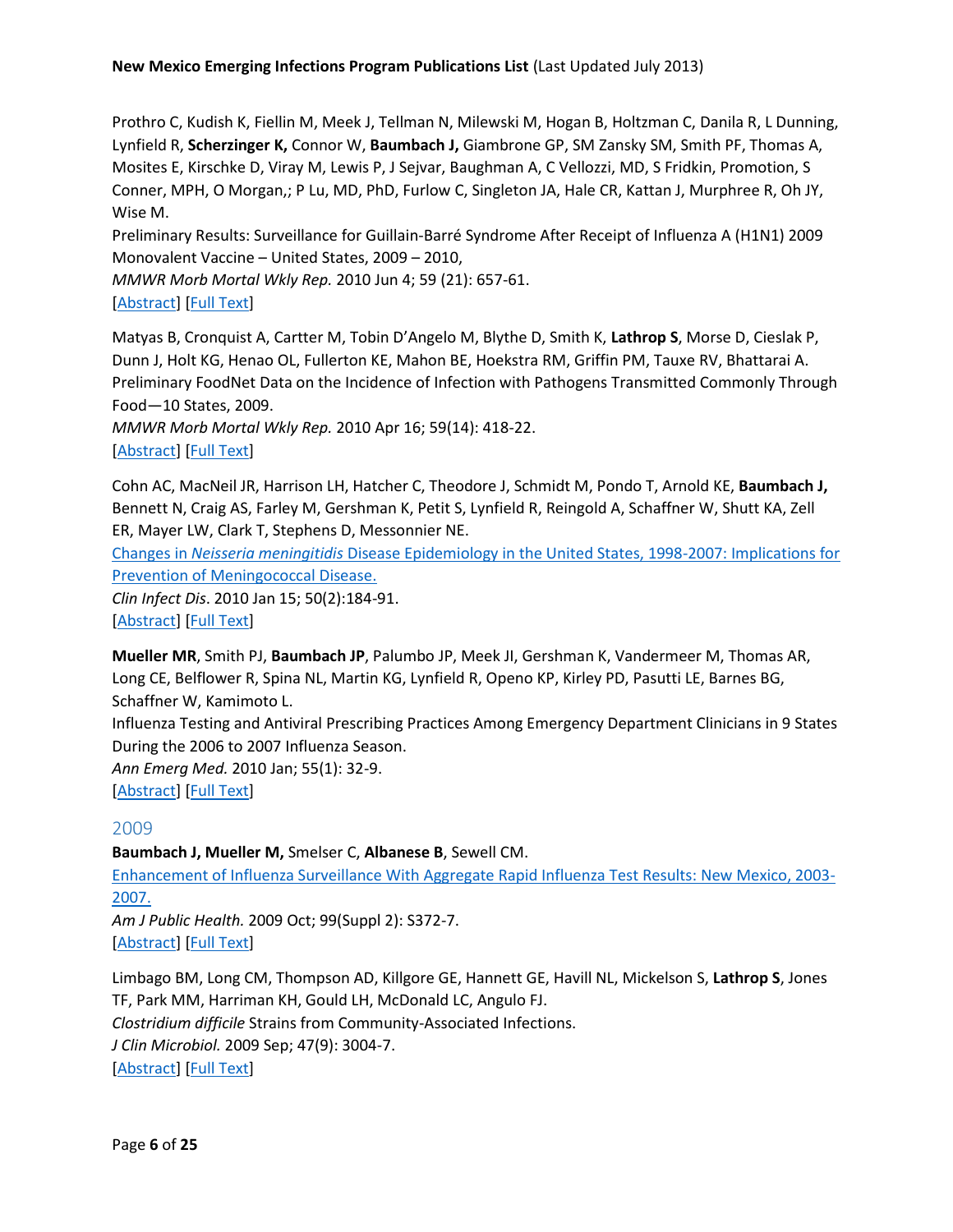Prothro C, Kudish K, Fiellin M, Meek J, Tellman N, Milewski M, Hogan B, Holtzman C, Danila R, L Dunning, Lynfield R, **Scherzinger K,** Connor W, **Baumbach J,** Giambrone GP, SM Zansky SM, Smith PF, Thomas A, Mosites E, Kirschke D, Viray M, Lewis P, J Sejvar, Baughman A, C Vellozzi, MD, S Fridkin, Promotion, S Conner, MPH, O Morgan,; P Lu, MD, PhD, Furlow C, Singleton JA, Hale CR, Kattan J, Murphree R, Oh JY, Wise M.

Preliminary Results: Surveillance for Guillain-Barré Syndrome After Receipt of Influenza A (H1N1) 2009 Monovalent Vaccine – United States, 2009 – 2010,

*MMWR Morb Mortal Wkly Rep.* 2010 Jun 4; 59 (21): 657-61.

# [\[Abstract\]](http://www.ncbi.nlm.nih.gov/pubmed/20520590) [\[Full Text\]](http://www.cdc.gov/mmwr/preview/mmwrhtml/mm5921a3.htm)

Matyas B, Cronquist A, Cartter M, Tobin D'Angelo M, Blythe D, Smith K, **Lathrop S**, Morse D, Cieslak P, Dunn J, Holt KG, Henao OL, Fullerton KE, Mahon BE, Hoekstra RM, Griffin PM, Tauxe RV, Bhattarai A. Preliminary FoodNet Data on the Incidence of Infection with Pathogens Transmitted Commonly Through Food—10 States, 2009.

*MMWR Morb Mortal Wkly Rep.* 2010 Apr 16; 59(14): 418-22. [\[Abstract\]](http://www.ncbi.nlm.nih.gov/pubmed/20395935) [\[Full Text\]](http://www.cdc.gov/mmwr/preview/mmwrhtml/mm5914a2.htm)

Cohn AC, MacNeil JR, Harrison LH, Hatcher C, Theodore J, Schmidt M, Pondo T, Arnold KE, **Baumbach J,** Bennett N, Craig AS, Farley M, Gershman K, Petit S, Lynfield R, Reingold A, Schaffner W, Shutt KA, Zell ER, Mayer LW, Clark T, Stephens D, Messonnier NE.

Changes in *Neisseria meningitidis* [Disease Epidemiology in the United States, 1998-2007: Implications for](http://www.ncbi.nlm.nih.gov/pubmed/20001736)  [Prevention of Meningococcal Disease.](http://www.ncbi.nlm.nih.gov/pubmed/20001736)

*Clin Infect Dis*. 2010 Jan 15; 50(2):184-91. [\[Abstract\]](http://www.ncbi.nlm.nih.gov/pubmed/20001736) [\[Full Text\]](http://cid.oxfordjournals.org/content/50/2/184.full.pdf+html)

**Mueller MR**, Smith PJ, **Baumbach JP**, Palumbo JP, Meek JI, Gershman K, Vandermeer M, Thomas AR, Long CE, Belflower R, Spina NL, Martin KG, Lynfield R, Openo KP, Kirley PD, Pasutti LE, Barnes BG, Schaffner W, Kamimoto L.

Influenza Testing and Antiviral Prescribing Practices Among Emergency Department Clinicians in 9 States During the 2006 to 2007 Influenza Season.

*Ann Emerg Med.* 2010 Jan; 55(1): 32-9.

[\[Abstract\]](http://www.ncbi.nlm.nih.gov/pubmed/20116012) [\[Full Text\]](http://download.journals.elsevierhealth.com/pdfs/journals/0196-0644/PIIS0196064409015571.pdf)

# <span id="page-5-0"></span>2009

**Baumbach J, Mueller M,** Smelser C, **Albanese B**, Sewell CM.

[Enhancement of Influenza Surveillance With Aggregate Rapid Influenza Test Results: New Mexico, 2003-](http://www.ncbi.nlm.nih.gov/pubmed/18923127) [2007.](http://www.ncbi.nlm.nih.gov/pubmed/18923127)

*Am J Public Health.* 2009 Oct; 99(Suppl 2): S372-7. [\[Abstract\]](http://www.ncbi.nlm.nih.gov/pubmed/18923127) [\[Full Text\]](http://ajph.aphapublications.org/doi/pdf/10.2105/AJPH.2007.125450)

Limbago BM, Long CM, Thompson AD, Killgore GE, Hannett GE, Havill NL, Mickelson S, **Lathrop S**, Jones TF, Park MM, Harriman KH, Gould LH, McDonald LC, Angulo FJ. *Clostridium difficile* Strains from Community-Associated Infections. *J Clin Microbiol.* 2009 Sep; 47(9): 3004-7.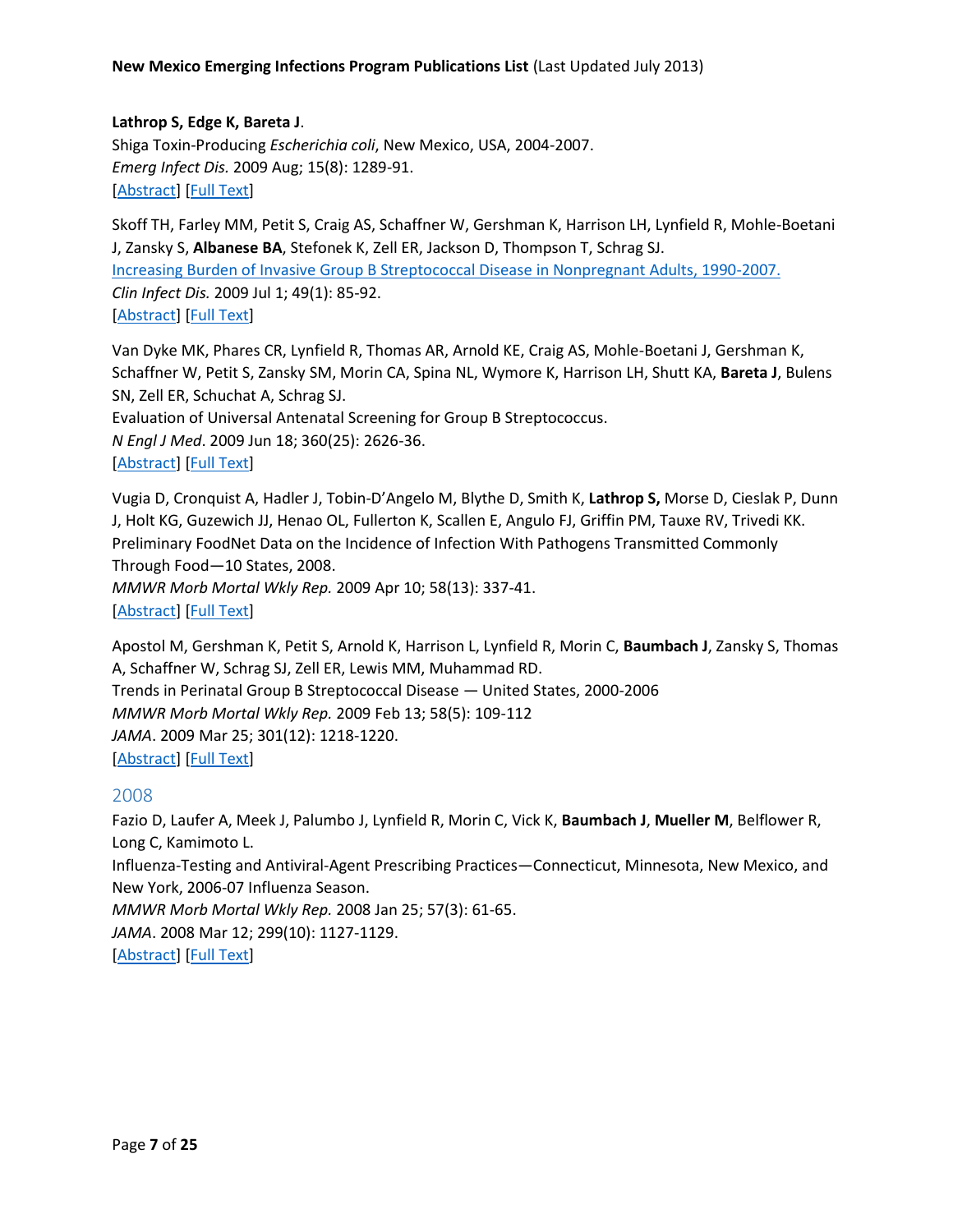# **Lathrop S, Edge K, Bareta J**.

Shiga Toxin-Producing *Escherichia coli*, New Mexico, USA, 2004-2007. *Emerg Infect Dis.* 2009 Aug; 15(8): 1289-91. [\[Abstract\]](http://www.ncbi.nlm.nih.gov/pubmed/19751594) [\[Full Text\]](http://wwwnc.cdc.gov/eid/article/15/8/08-1616_article.htm)

Skoff TH, Farley MM, Petit S, Craig AS, Schaffner W, Gershman K, Harrison LH, Lynfield R, Mohle-Boetani J, Zansky S, **Albanese BA**, Stefonek K, Zell ER, Jackson D, Thompson T, Schrag SJ. [Increasing Burden of Invasive Group B Streptococcal Disease in Nonpregnant Adults, 1990-2007.](http://www.ncbi.nlm.nih.gov/pubmed/19480572) *Clin Infect Dis.* 2009 Jul 1; 49(1): 85-92. [\[Abstract\]](http://www.ncbi.nlm.nih.gov/pubmed/19480572) [\[Full Text\]](http://cid.oxfordjournals.org/content/49/1/85.full.pdf+html)

Van Dyke MK, Phares CR, Lynfield R, Thomas AR, Arnold KE, Craig AS, Mohle-Boetani J, Gershman K, Schaffner W, Petit S, Zansky SM, Morin CA, Spina NL, Wymore K, Harrison LH, Shutt KA, **Bareta J**, Bulens SN, Zell ER, Schuchat A, Schrag SJ.

Evaluation of Universal Antenatal Screening for Group B Streptococcus.

*N Engl J Med*. 2009 Jun 18; 360(25): 2626-36.

#### [\[Abstract\]](http://www.ncbi.nlm.nih.gov/pubmed/19535801) [\[Full Text\]](http://www.nejm.org/doi/pdf/10.1056/NEJMoa0806820)

Vugia D, Cronquist A, Hadler J, Tobin-D'Angelo M, Blythe D, Smith K, **Lathrop S,** Morse D, Cieslak P, Dunn J, Holt KG, Guzewich JJ, Henao OL, Fullerton K, Scallen E, Angulo FJ, Griffin PM, Tauxe RV, Trivedi KK. Preliminary FoodNet Data on the Incidence of Infection With Pathogens Transmitted Commonly Through Food—10 States, 2008. *MMWR Morb Mortal Wkly Rep.* 2009 Apr 10; 58(13): 337-41. [\[Abstract\]](http://www.ncbi.nlm.nih.gov/pubmed/19357633) [\[Full Text\]](http://www.cdc.gov/mmwr/preview/mmwrhtml/mm5813a2.htm)

Apostol M, Gershman K, Petit S, Arnold K, Harrison L, Lynfield R, Morin C, **Baumbach J**, Zansky S, Thomas A, Schaffner W, Schrag SJ, Zell ER, Lewis MM, Muhammad RD. Trends in Perinatal Group B Streptococcal Disease — United States, 2000-2006 *MMWR Morb Mortal Wkly Rep.* 2009 Feb 13; 58(5): 109-112 *JAMA*. 2009 Mar 25; 301(12): 1218-1220. [\[Abstract\]](http://www.ncbi.nlm.nih.gov/pubmed/19214159) [\[Full Text\]](http://jama.jamanetwork.com/data/Journals/JAMA/4457/jwr0325_1218_1220.pdf)

#### <span id="page-6-0"></span>2008

Fazio D, Laufer A, Meek J, Palumbo J, Lynfield R, Morin C, Vick K, **Baumbach J**, **Mueller M**, Belflower R, Long C, Kamimoto L. Influenza-Testing and Antiviral-Agent Prescribing Practices—Connecticut, Minnesota, New Mexico, and New York, 2006-07 Influenza Season. *MMWR Morb Mortal Wkly Rep.* 2008 Jan 25; 57(3): 61-65. *JAMA*. 2008 Mar 12; 299(10): 1127-1129.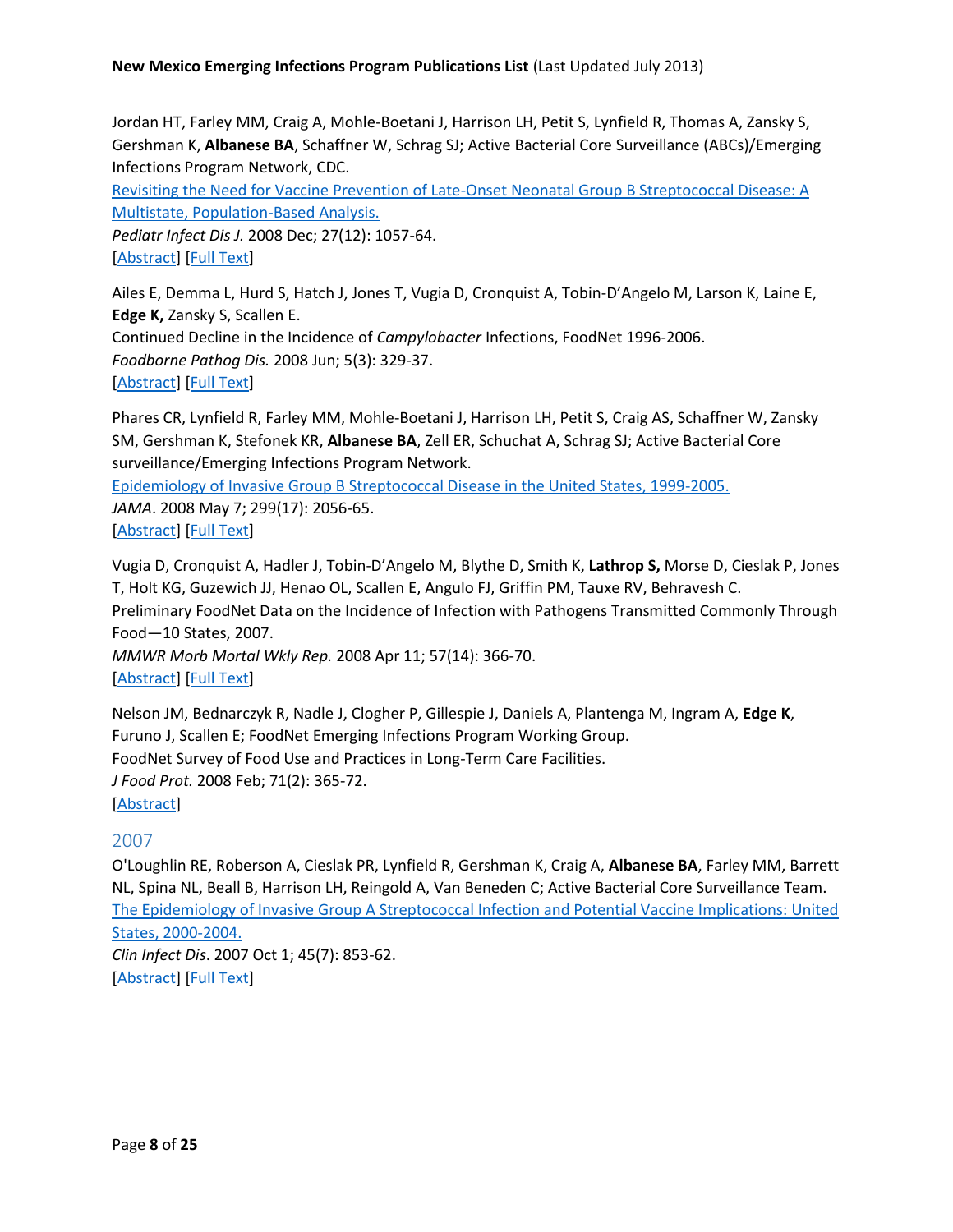Jordan HT, Farley MM, Craig A, Mohle-Boetani J, Harrison LH, Petit S, Lynfield R, Thomas A, Zansky S, Gershman K, **Albanese BA**, Schaffner W, Schrag SJ; Active Bacterial Core Surveillance (ABCs)/Emerging Infections Program Network, CDC.

[Revisiting the Need for Vaccine Prevention of Late-Onset Neonatal Group B Streptococcal Disease: A](http://www.ncbi.nlm.nih.gov/pubmed/18989238)  [Multistate, Population-Based Analysis.](http://www.ncbi.nlm.nih.gov/pubmed/18989238)

*Pediatr Infect Dis J.* 2008 Dec; 27(12): 1057-64. [\[Abstract\]](http://www.ncbi.nlm.nih.gov/pubmed/18989238) [\[Full Text\]](http://journals.lww.com/pidj/Abstract/2008/12000/Revisiting_the_Need_for_Vaccine_Prevention_of.3.aspx)

Ailes E, Demma L, Hurd S, Hatch J, Jones T, Vugia D, Cronquist A, Tobin-D'Angelo M, Larson K, Laine E, **Edge K,** Zansky S, Scallen E. Continued Decline in the Incidence of *Campylobacter* Infections, FoodNet 1996-2006. *Foodborne Pathog Dis.* 2008 Jun; 5(3): 329-37. [\[Abstract\]](http://www.ncbi.nlm.nih.gov/pubmed/18767978) [\[Full Text\]](http://online.liebertpub.com/doi/pdfplus/10.1089/fpd.2008.0090)

Phares CR, Lynfield R, Farley MM, Mohle-Boetani J, Harrison LH, Petit S, Craig AS, Schaffner W, Zansky SM, Gershman K, Stefonek KR, **Albanese BA**, Zell ER, Schuchat A, Schrag SJ; Active Bacterial Core surveillance/Emerging Infections Program Network.

[Epidemiology of Invasive Group B Streptococcal Disease in the United States, 1999-2005.](http://www.ncbi.nlm.nih.gov/pubmed/18460666)

*JAMA*. 2008 May 7; 299(17): 2056-65. [\[Abstract\]](http://www.ncbi.nlm.nih.gov/pubmed/18460666) [\[Full Text\]](http://jama.ama-assn.org/content/299/17/2056.full.pdf+html)

Vugia D, Cronquist A, Hadler J, Tobin-D'Angelo M, Blythe D, Smith K, **Lathrop S,** Morse D, Cieslak P, Jones T, Holt KG, Guzewich JJ, Henao OL, Scallen E, Angulo FJ, Griffin PM, Tauxe RV, Behravesh C. Preliminary FoodNet Data on the Incidence of Infection with Pathogens Transmitted Commonly Through Food—10 States, 2007. *MMWR Morb Mortal Wkly Rep.* 2008 Apr 11; 57(14): 366-70.

[\[Abstract\]](http://www.ncbi.nlm.nih.gov/pubmed/18401330) [\[Full Text\]](http://www.cdc.gov/mmwr/preview/mmwrhtml/mm5714a2.htm)

Nelson JM, Bednarczyk R, Nadle J, Clogher P, Gillespie J, Daniels A, Plantenga M, Ingram A, **Edge K**, Furuno J, Scallen E; FoodNet Emerging Infections Program Working Group. FoodNet Survey of Food Use and Practices in Long-Term Care Facilities. *J Food Prot.* 2008 Feb; 71(2): 365-72. [\[Abstract\]](http://www.ncbi.nlm.nih.gov/pubmed/18326188)

# <span id="page-7-0"></span>2007

O'Loughlin RE, Roberson A, Cieslak PR, Lynfield R, Gershman K, Craig A, **Albanese BA**, Farley MM, Barrett NL, Spina NL, Beall B, Harrison LH, Reingold A, Van Beneden C; Active Bacterial Core Surveillance Team. [The Epidemiology of Invasive Group A Streptococcal Infection and Potential Vaccine Implications: United](http://www.ncbi.nlm.nih.gov/pubmed/17806049)  [States, 2000-2004.](http://www.ncbi.nlm.nih.gov/pubmed/17806049) *Clin Infect Dis*. 2007 Oct 1; 45(7): 853-62.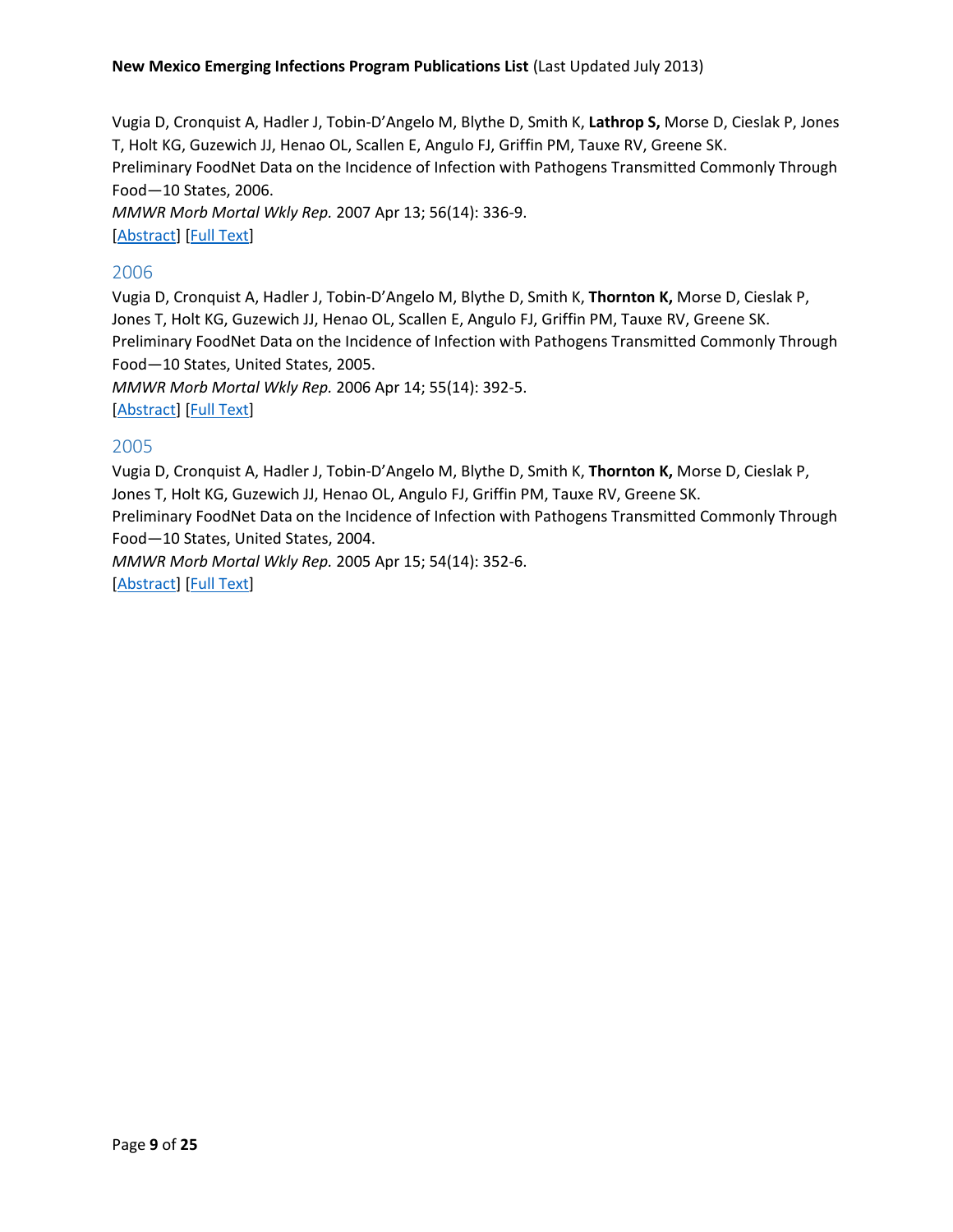Vugia D, Cronquist A, Hadler J, Tobin-D'Angelo M, Blythe D, Smith K, **Lathrop S,** Morse D, Cieslak P, Jones T, Holt KG, Guzewich JJ, Henao OL, Scallen E, Angulo FJ, Griffin PM, Tauxe RV, Greene SK. Preliminary FoodNet Data on the Incidence of Infection with Pathogens Transmitted Commonly Through Food—10 States, 2006. *MMWR Morb Mortal Wkly Rep.* 2007 Apr 13; 56(14): 336-9.

[\[Abstract\]](http://www.ncbi.nlm.nih.gov/pubmed/17431379) [\[Full Text\]](http://www.cdc.gov/mmwr/preview/mmwrhtml/mm5614a4.htm)

# <span id="page-8-0"></span>2006

Vugia D, Cronquist A, Hadler J, Tobin-D'Angelo M, Blythe D, Smith K, **Thornton K,** Morse D, Cieslak P, Jones T, Holt KG, Guzewich JJ, Henao OL, Scallen E, Angulo FJ, Griffin PM, Tauxe RV, Greene SK. Preliminary FoodNet Data on the Incidence of Infection with Pathogens Transmitted Commonly Through Food—10 States, United States, 2005.

*MMWR Morb Mortal Wkly Rep.* 2006 Apr 14; 55(14): 392-5. [\[Abstract\]](http://www.ncbi.nlm.nih.gov/pubmed/16617286) [\[Full Text\]](http://www.cdc.gov/mmwr/preview/mmwrhtml/mm5514a2.htm)

# <span id="page-8-1"></span>2005

Vugia D, Cronquist A, Hadler J, Tobin-D'Angelo M, Blythe D, Smith K, **Thornton K,** Morse D, Cieslak P, Jones T, Holt KG, Guzewich JJ, Henao OL, Angulo FJ, Griffin PM, Tauxe RV, Greene SK. Preliminary FoodNet Data on the Incidence of Infection with Pathogens Transmitted Commonly Through Food—10 States, United States, 2004.

*MMWR Morb Mortal Wkly Rep.* 2005 Apr 15; 54(14): 352-6. [\[Abstract\]](http://www.ncbi.nlm.nih.gov/pubmed/15829864) [\[Full Text\]](http://www.cdc.gov/mmwr/preview/mmwrhtml/mm5414a2.htm)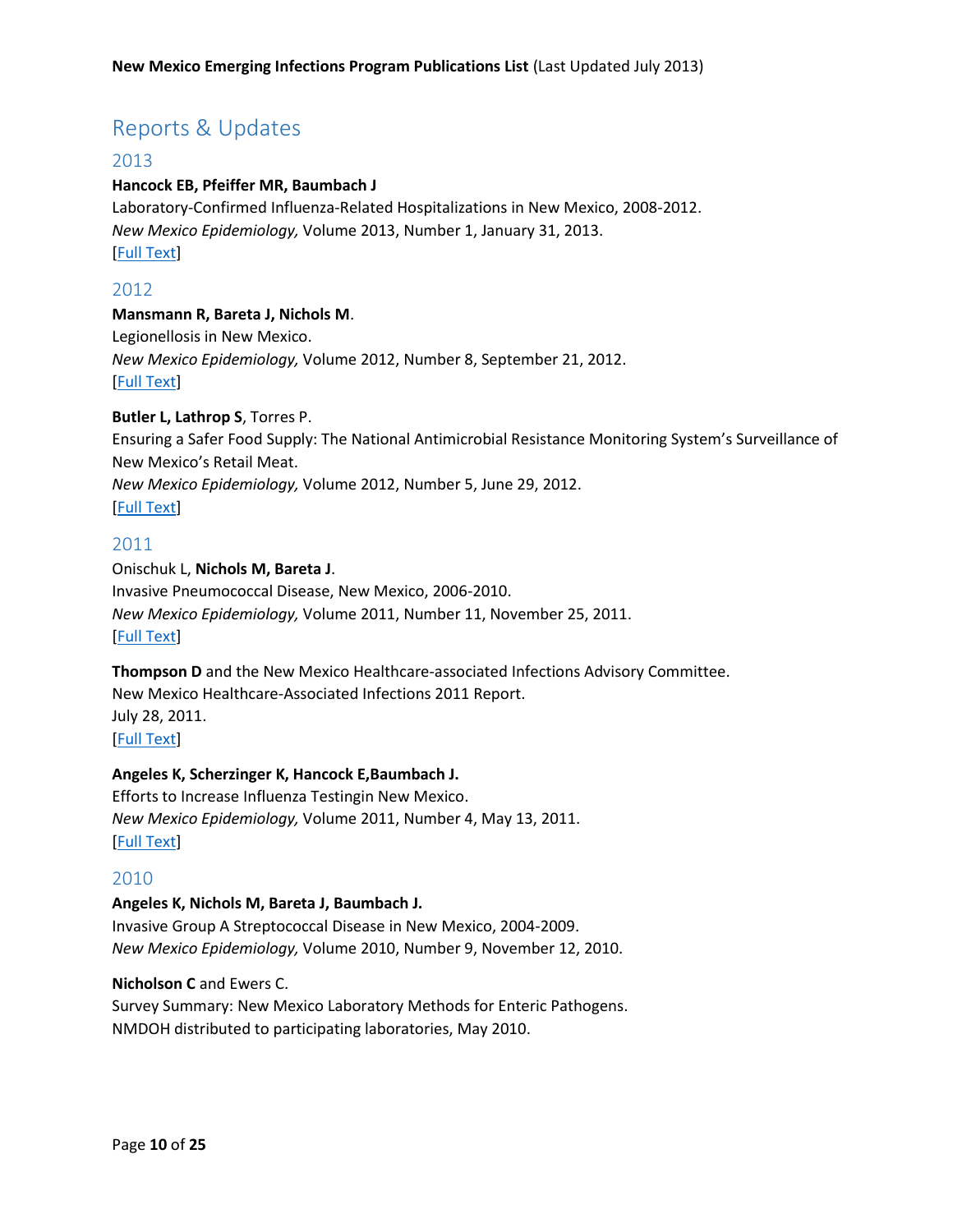# <span id="page-9-0"></span>Reports & Updates

# <span id="page-9-1"></span>2013

#### **Hancock EB, Pfeiffer MR, Baumbach J**

Laboratory-Confirmed Influenza-Related Hospitalizations in New Mexico, 2008-2012. *New Mexico Epidemiology,* Volume 2013, Number 1, January 31, 2013. [\[Full Text\]](http://archive.nmhealth.org/ERD/HealthData/documents/NMDOH-ERD-20130201-InfluenzaHospitalizations.pdf)

# <span id="page-9-2"></span>2012

#### **Mansmann R, Bareta J, Nichols M**.

Legionellosis in New Mexico. *New Mexico Epidemiology,* Volume 2012, Number 8, September 21, 2012. [\[Full Text\]](http://archive.nmhealth.org/ERD/HealthData/documents/ERD-Legionellosis-20120924.pdf)

#### **Butler L, Lathrop S**, Torres P.

Ensuring a Safer Food Supply: The National Antimicrobial Resistance Monitoring System's Surveillance of New Mexico's Retail Meat.

*New Mexico Epidemiology,* Volume 2012, Number 5, June 29, 2012.

[\[Full Text\]](http://archive.nmhealth.org/ERD/HealthData/documents/NMDOH-ERD-20120629-EnsuringSaferFoodSupply.pdf)

# <span id="page-9-3"></span>2011

# Onischuk L, **Nichols M, Bareta J**. Invasive Pneumococcal Disease, New Mexico, 2006-2010. *New Mexico Epidemiology,* Volume 2011, Number 11, November 25, 2011. [\[Full Text\]](http://archive.nmhealth.org/ERD/pdf/ER%20IPD%2011182011-2.pdf)

**Thompson D** and the New Mexico Healthcare-associated Infections Advisory Committee. New Mexico Healthcare-Associated Infections 2011 Report. July 28, 2011. [\[Full Text\]](http://archive.nmhealth.org/hai/documents/NMHAI2011AnnualReport27July2011.pdf)

#### **Angeles K, Scherzinger K, Hancock E,Baumbach J.**

Efforts to Increase Influenza Testingin New Mexico. *New Mexico Epidemiology,* Volume 2011, Number 4, May 13, 2011. [\[Full Text\]](http://archive.nmhealth.org/ERD/pdf/ER%20Influenza%20051311.pdf)

#### <span id="page-9-4"></span>2010

#### **Angeles K, Nichols M, Bareta J, Baumbach J.**

Invasive Group A Streptococcal Disease in New Mexico, 2004-2009. *New Mexico Epidemiology,* Volume 2010, Number 9, November 12, 2010.

## **Nicholson C** and Ewers C.

Survey Summary: New Mexico Laboratory Methods for Enteric Pathogens. NMDOH distributed to participating laboratories, May 2010.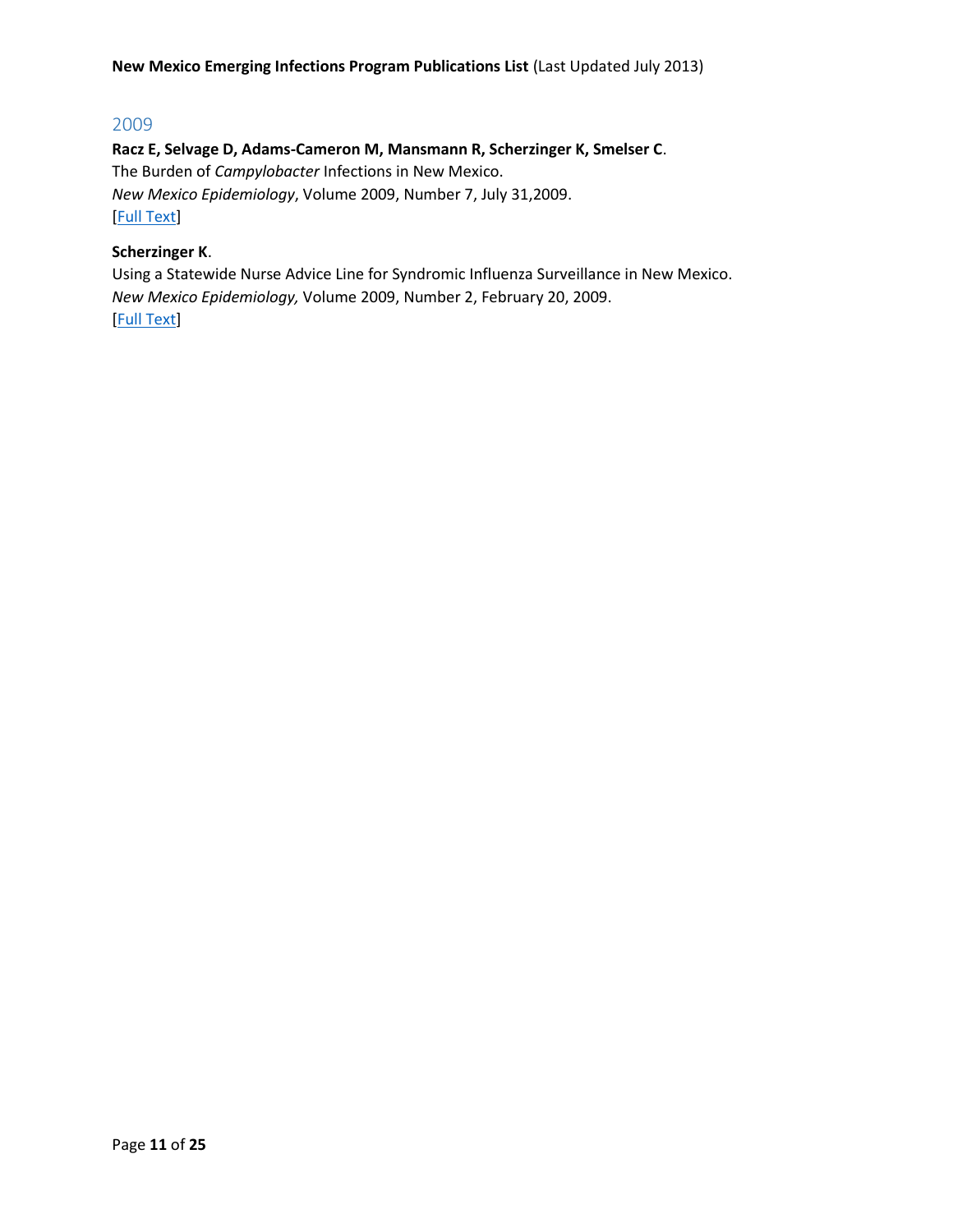# <span id="page-10-0"></span>2009

**Racz E, Selvage D, Adams-Cameron M, Mansmann R, Scherzinger K, Smelser C**. The Burden of *Campylobacter* Infections in New Mexico.

*New Mexico Epidemiology*, Volume 2009, Number 7, July 31,2009.

[\[Full Text\]](http://archive.nmhealth.org/ERD/HealthData/pdf/ER%20campylobacter%20july3109.pdf)

# **Scherzinger K**.

Using a Statewide Nurse Advice Line for Syndromic Influenza Surveillance in New Mexico. *New Mexico Epidemiology,* Volume 2009, Number 2, February 20, 2009. [\[Full Text\]](http://archive.nmhealth.org/ERD/HealthData/pdf/ER%20NANM%20Influenza%20020909.pdf)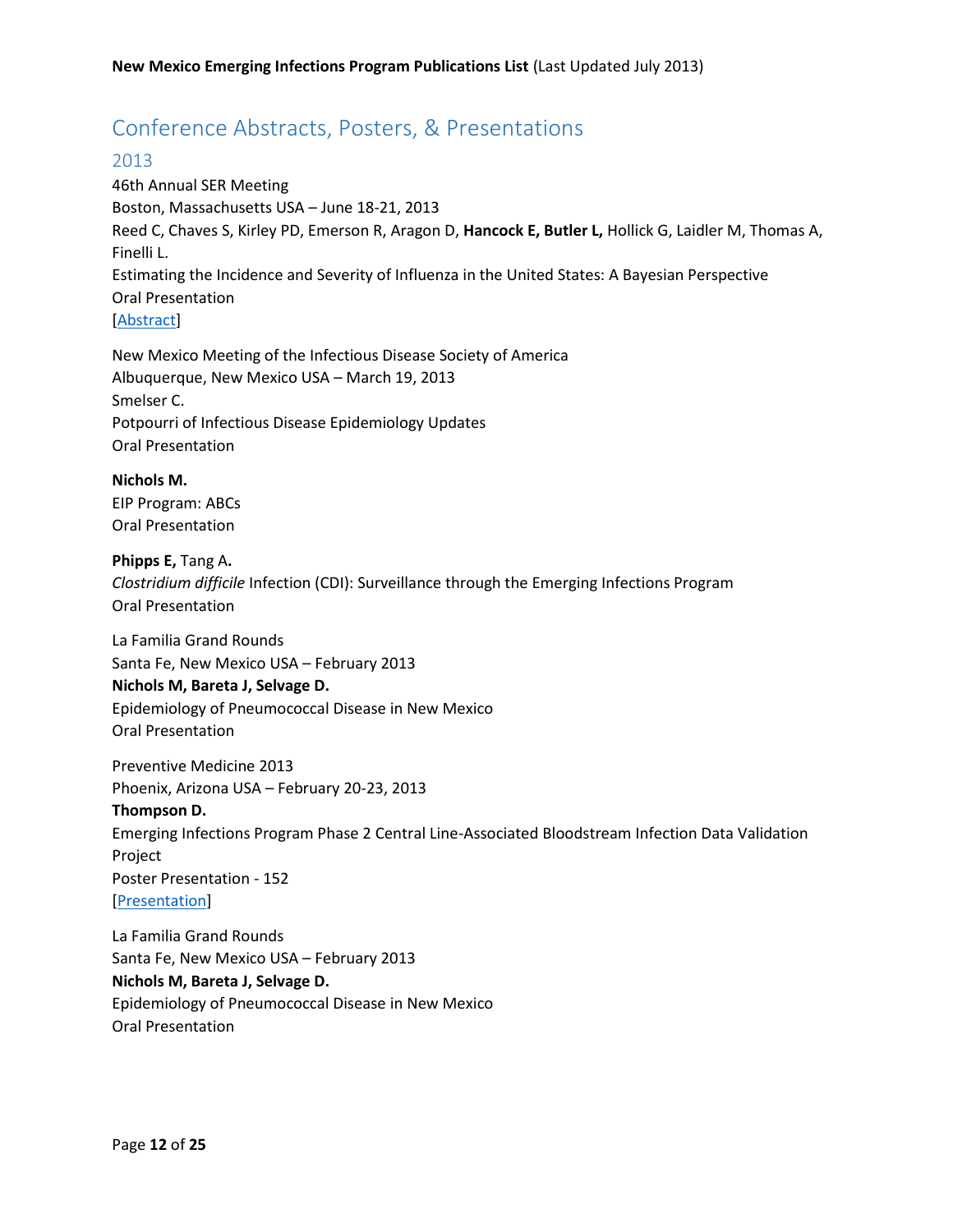# <span id="page-11-0"></span>Conference Abstracts, Posters, & Presentations

# <span id="page-11-1"></span>2013

46th Annual SER Meeting Boston, Massachusetts USA – June 18-21, 2013 Reed C, Chaves S, Kirley PD, Emerson R, Aragon D, **Hancock E, Butler L,** Hollick G, Laidler M, Thomas A, Finelli L. Estimating the Incidence and Severity of Influenza in the United States: A Bayesian Perspective Oral Presentation [\[Abstract\]](http://www.epiresearch.org/meeting/online/abstract_detail.php?i=a8abb4bb284b5b27aa7cb790dc20f80b)

New Mexico Meeting of the Infectious Disease Society of America Albuquerque, New Mexico USA – March 19, 2013 Smelser C. Potpourri of Infectious Disease Epidemiology Updates Oral Presentation

**Nichols M.** EIP Program: ABCs Oral Presentation

**Phipps E,** Tang A**.** *Clostridium difficile* Infection (CDI): Surveillance through the Emerging Infections Program Oral Presentation

La Familia Grand Rounds Santa Fe, New Mexico USA – February 2013 **Nichols M, Bareta J, Selvage D.** Epidemiology of Pneumococcal Disease in New Mexico Oral Presentation

Preventive Medicine 2013 Phoenix, Arizona USA – February 20-23, 2013 **Thompson D.** Emerging Infections Program Phase 2 Central Line-Associated Bloodstream Infection Data Validation Project Poster Presentation - 152 **[\[Presentation\]](http://www.preventivemedicine2013.org/uploads/4/1/8/9/4189672/pm2013_posters.pdf)** 

La Familia Grand Rounds Santa Fe, New Mexico USA – February 2013 **Nichols M, Bareta J, Selvage D.** Epidemiology of Pneumococcal Disease in New Mexico Oral Presentation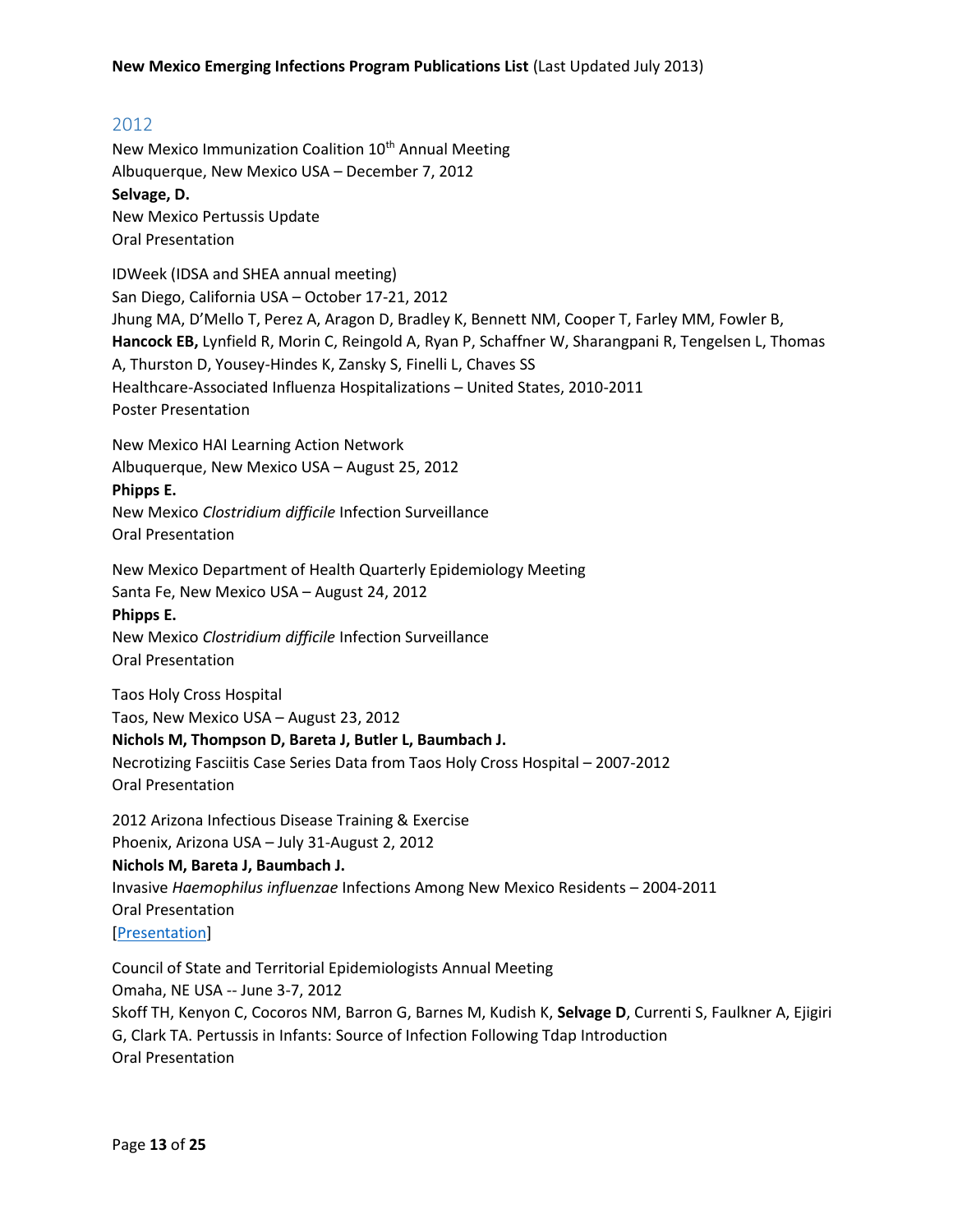# <span id="page-12-0"></span>2012

New Mexico Immunization Coalition 10<sup>th</sup> Annual Meeting Albuquerque, New Mexico USA – December 7, 2012 **Selvage, D.** New Mexico Pertussis Update Oral Presentation

IDWeek (IDSA and SHEA annual meeting) San Diego, California USA – October 17-21, 2012 Jhung MA, D'Mello T, Perez A, Aragon D, Bradley K, Bennett NM, Cooper T, Farley MM, Fowler B, **Hancock EB,** Lynfield R, Morin C, Reingold A, Ryan P, Schaffner W, Sharangpani R, Tengelsen L, Thomas A, Thurston D, Yousey-Hindes K, Zansky S, Finelli L, Chaves SS Healthcare-Associated Influenza Hospitalizations – United States, 2010-2011 Poster Presentation

New Mexico HAI Learning Action Network Albuquerque, New Mexico USA – August 25, 2012

#### **Phipps E.**

New Mexico *Clostridium difficile* Infection Surveillance Oral Presentation

New Mexico Department of Health Quarterly Epidemiology Meeting Santa Fe, New Mexico USA – August 24, 2012

# **Phipps E.**

New Mexico *Clostridium difficile* Infection Surveillance Oral Presentation

Taos Holy Cross Hospital

Taos, New Mexico USA – August 23, 2012

#### **Nichols M, Thompson D, Bareta J, Butler L, Baumbach J.**

Necrotizing Fasciitis Case Series Data from Taos Holy Cross Hospital – 2007-2012 Oral Presentation

2012 Arizona Infectious Disease Training & Exercise

# Phoenix, Arizona USA – July 31-August 2, 2012

# **Nichols M, Bareta J, Baumbach J.**

Invasive *Haemophilus influenzae* Infections Among New Mexico Residents – 2004-2011

Oral Presentation

[\[Presentation\]](http://www.azdhs.gov/phs/oids/training/documents/2012/NicholsMegin.pdf)

Council of State and Territorial Epidemiologists Annual Meeting Omaha, NE USA -- June 3-7, 2012 Skoff TH, Kenyon C, Cocoros NM, Barron G, Barnes M, Kudish K, **Selvage D**, Currenti S, Faulkner A, Ejigiri G, Clark TA. Pertussis in Infants: Source of Infection Following Tdap Introduction Oral Presentation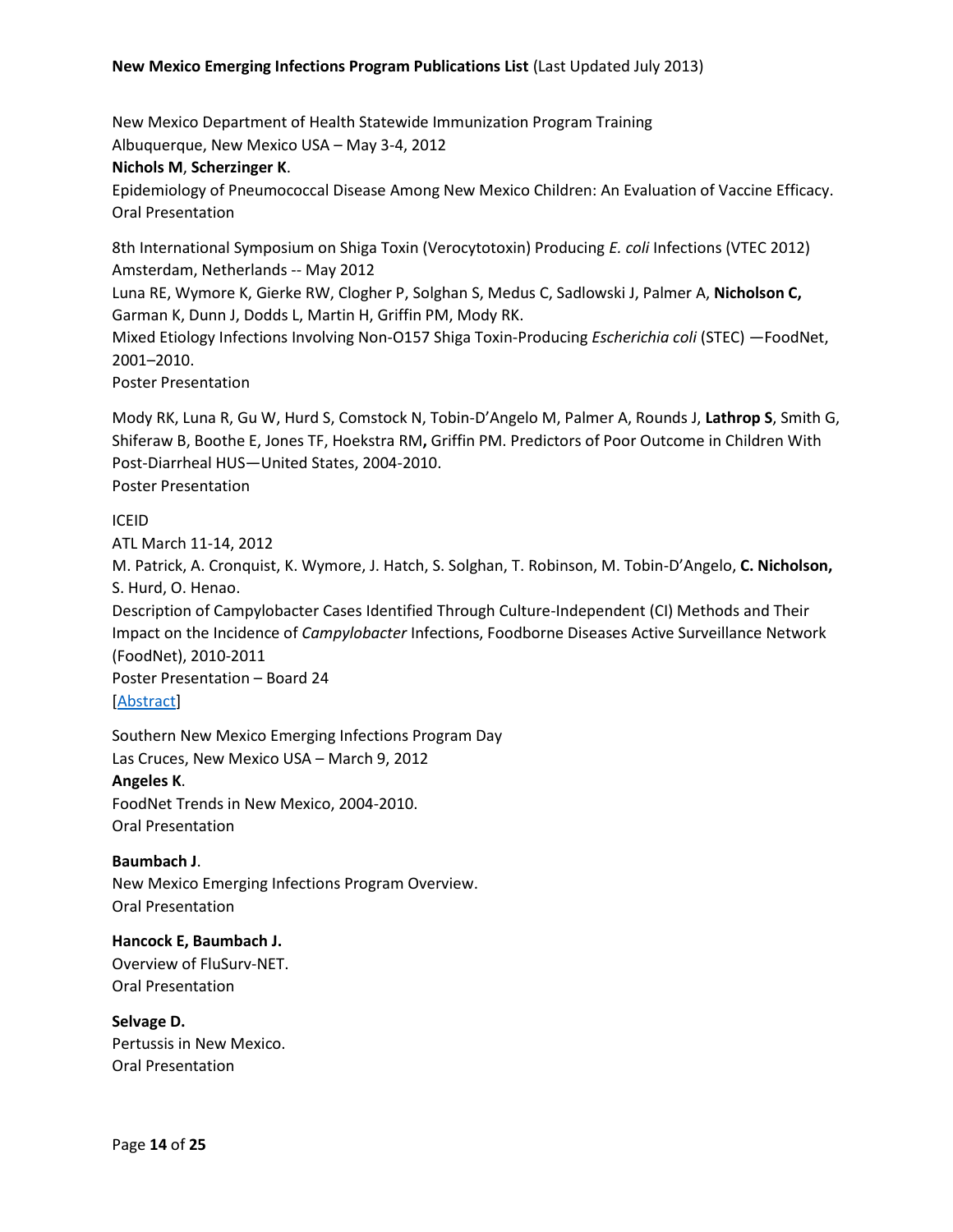New Mexico Department of Health Statewide Immunization Program Training Albuquerque, New Mexico USA – May 3-4, 2012

#### **Nichols M**, **Scherzinger K**.

Epidemiology of Pneumococcal Disease Among New Mexico Children: An Evaluation of Vaccine Efficacy. Oral Presentation

8th International Symposium on Shiga Toxin (Verocytotoxin) Producing *E. coli* Infections (VTEC 2012) Amsterdam, Netherlands -- May 2012

Luna RE, Wymore K, Gierke RW, Clogher P, Solghan S, Medus C, Sadlowski J, Palmer A, **Nicholson C,** Garman K, Dunn J, Dodds L, Martin H, Griffin PM, Mody RK.

Mixed Etiology Infections Involving Non-O157 Shiga Toxin-Producing *Escherichia coli* (STEC) —FoodNet, 2001–2010.

Poster Presentation

Mody RK, Luna R, Gu W, Hurd S, Comstock N, Tobin-D'Angelo M, Palmer A, Rounds J, **Lathrop S**, Smith G, Shiferaw B, Boothe E, Jones TF, Hoekstra RM**,** Griffin PM. Predictors of Poor Outcome in Children With Post-Diarrheal HUS—United States, 2004-2010. Poster Presentation

#### ICEID

ATL March 11-14, 2012

M. Patrick, A. Cronquist, K. Wymore, J. Hatch, S. Solghan, T. Robinson, M. Tobin-D'Angelo, **C. Nicholson,** S. Hurd, O. Henao.

Description of Campylobacter Cases Identified Through Culture-Independent (CI) Methods and Their Impact on the Incidence of *Campylobacter* Infections, Foodborne Diseases Active Surveillance Network (FoodNet), 2010-2011

Poster Presentation – Board 24 [\[Abstract\]](http://www.iceid.org/images/iceid_2012_finalprogram_final.pdf)

Southern New Mexico Emerging Infections Program Day Las Cruces, New Mexico USA – March 9, 2012 **Angeles K**. FoodNet Trends in New Mexico, 2004-2010. Oral Presentation

**Baumbach J**. New Mexico Emerging Infections Program Overview. Oral Presentation

**Hancock E, Baumbach J.** Overview of FluSurv-NET. Oral Presentation

**Selvage D.** Pertussis in New Mexico. Oral Presentation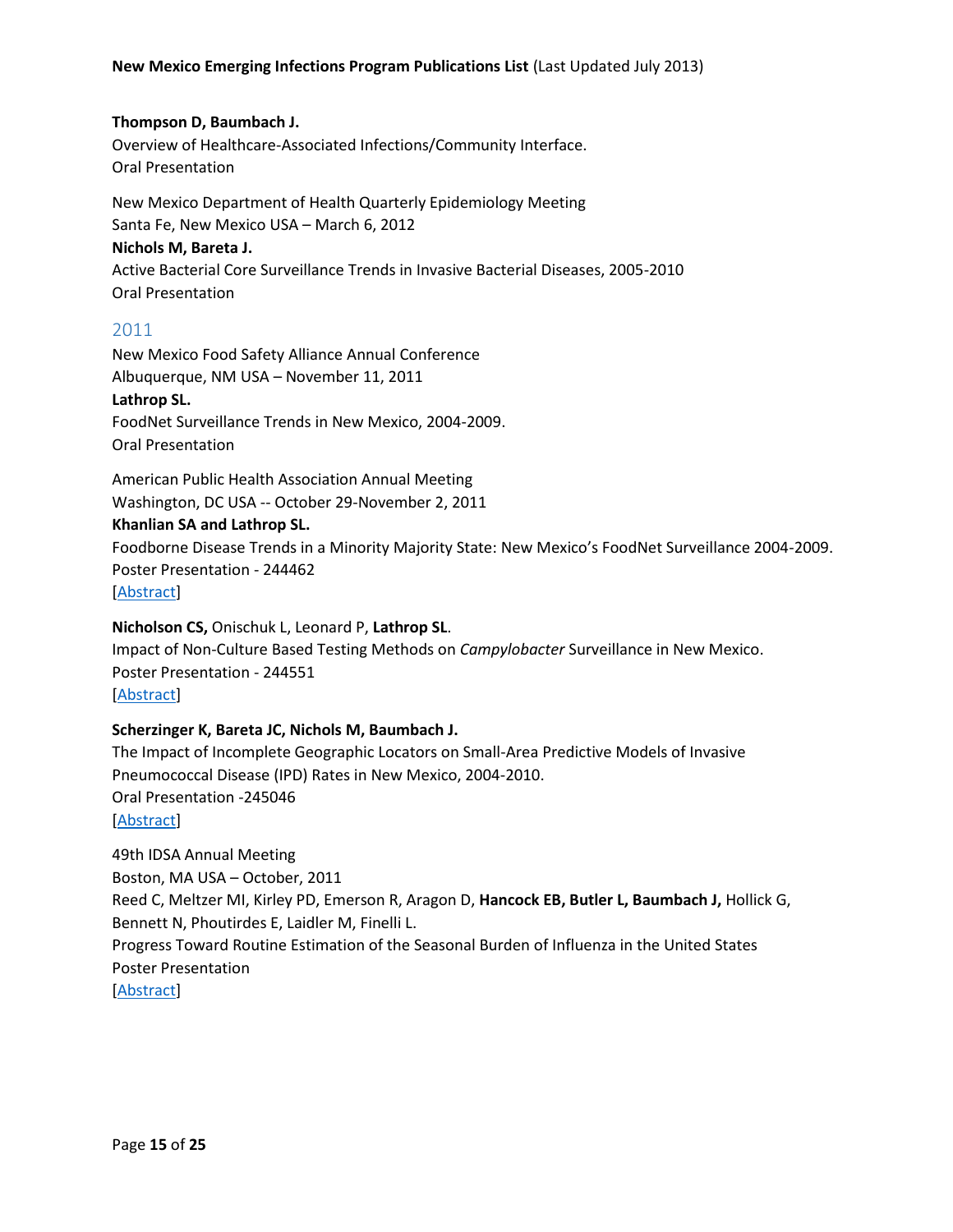#### **Thompson D, Baumbach J.**

Overview of Healthcare-Associated Infections/Community Interface. Oral Presentation

New Mexico Department of Health Quarterly Epidemiology Meeting Santa Fe, New Mexico USA – March 6, 2012 **Nichols M, Bareta J.** Active Bacterial Core Surveillance Trends in Invasive Bacterial Diseases, 2005-2010 Oral Presentation

# <span id="page-14-0"></span>2011

New Mexico Food Safety Alliance Annual Conference Albuquerque, NM USA – November 11, 2011 **Lathrop SL.** FoodNet Surveillance Trends in New Mexico, 2004-2009. Oral Presentation

American Public Health Association Annual Meeting Washington, DC USA -- October 29-November 2, 2011

#### **Khanlian SA and Lathrop SL.**

Foodborne Disease Trends in a Minority Majority State: New Mexico's FoodNet Surveillance 2004-2009. Poster Presentation - 244462 [\[Abstract\]](https://apha.confex.com/apha/139am/webprogram/Paper244462.html)

#### **Nicholson CS,** Onischuk L, Leonard P, **Lathrop SL**.

Impact of Non-Culture Based Testing Methods on *Campylobacter* Surveillance in New Mexico. Poster Presentation - 244551 [\[Abstract\]](https://apha.confex.com/apha/139am/webprogram/Paper244551.html)

#### **Scherzinger K, Bareta JC, Nichols M, Baumbach J.**

The Impact of Incomplete Geographic Locators on Small-Area Predictive Models of Invasive Pneumococcal Disease (IPD) Rates in New Mexico, 2004-2010. Oral Presentation -245046 [\[Abstract\]](https://apha.confex.com/apha/139am/webprogram/Paper245046.html)

49th IDSA Annual Meeting Boston, MA USA – October, 2011 Reed C, Meltzer MI, Kirley PD, Emerson R, Aragon D, **Hancock EB, Butler L, Baumbach J,** Hollick G, Bennett N, Phoutirdes E, Laidler M, Finelli L. Progress Toward Routine Estimation of the Seasonal Burden of Influenza in the United States Poster Presentation [\[Abstract\]](https://idsa.confex.com/idsa/2011/webprogram/Paper30694.html)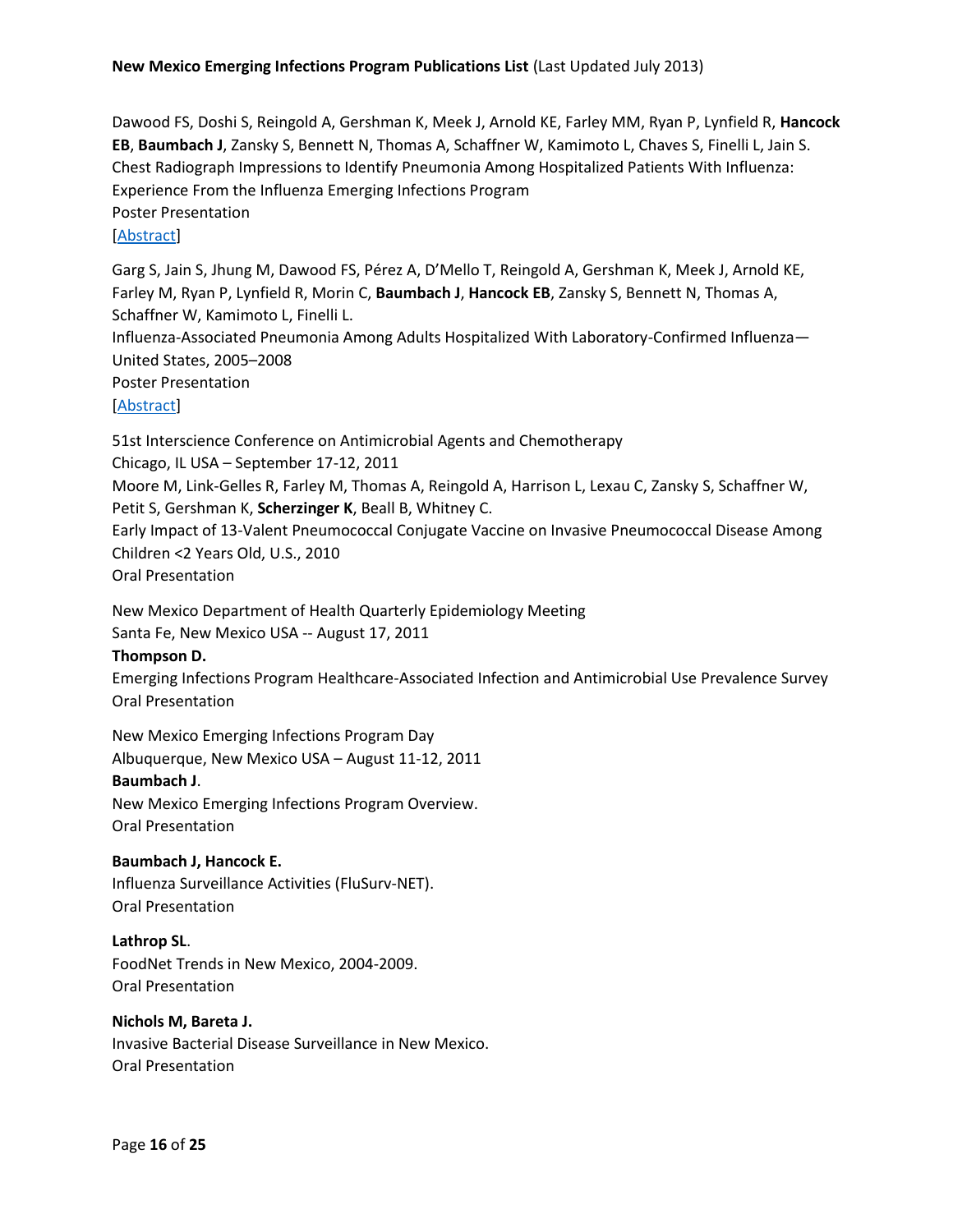Dawood FS, Doshi S, Reingold A, Gershman K, Meek J, Arnold KE, Farley MM, Ryan P, Lynfield R, **Hancock EB**, **Baumbach J**, Zansky S, Bennett N, Thomas A, Schaffner W, Kamimoto L, Chaves S, Finelli L, Jain S. Chest Radiograph Impressions to Identify Pneumonia Among Hospitalized Patients With Influenza: Experience From the Influenza Emerging Infections Program Poster Presentation [\[Abstract\]](https://idsa.confex.com/idsa/2011/webprogram/Paper30634.html)

Garg S, Jain S, Jhung M, Dawood FS, Pérez A, D'Mello T, Reingold A, Gershman K, Meek J, Arnold KE, Farley M, Ryan P, Lynfield R, Morin C, **Baumbach J**, **Hancock EB**, Zansky S, Bennett N, Thomas A, Schaffner W, Kamimoto L, Finelli L. Influenza-Associated Pneumonia Among Adults Hospitalized With Laboratory-Confirmed Influenza— United States, 2005–2008 Poster Presentation [\[Abstract\]](https://idsa.confex.com/idsa/2011/webprogram/Paper30353.html)

51st Interscience Conference on Antimicrobial Agents and Chemotherapy Chicago, IL USA – September 17-12, 2011 Moore M, Link-Gelles R, Farley M, Thomas A, Reingold A, Harrison L, Lexau C, Zansky S, Schaffner W, Petit S, Gershman K, **Scherzinger K**, Beall B, Whitney C. Early Impact of 13-Valent Pneumococcal Conjugate Vaccine on Invasive Pneumococcal Disease Among Children <2 Years Old, U.S., 2010 Oral Presentation

New Mexico Department of Health Quarterly Epidemiology Meeting Santa Fe, New Mexico USA -- August 17, 2011

#### **Thompson D.**

Emerging Infections Program Healthcare-Associated Infection and Antimicrobial Use Prevalence Survey Oral Presentation

New Mexico Emerging Infections Program Day Albuquerque, New Mexico USA – August 11-12, 2011 **Baumbach J**.

New Mexico Emerging Infections Program Overview. Oral Presentation

#### **Baumbach J, Hancock E.**

Influenza Surveillance Activities (FluSurv-NET). Oral Presentation

**Lathrop SL**. FoodNet Trends in New Mexico, 2004-2009. Oral Presentation

# **Nichols M, Bareta J.**

Invasive Bacterial Disease Surveillance in New Mexico. Oral Presentation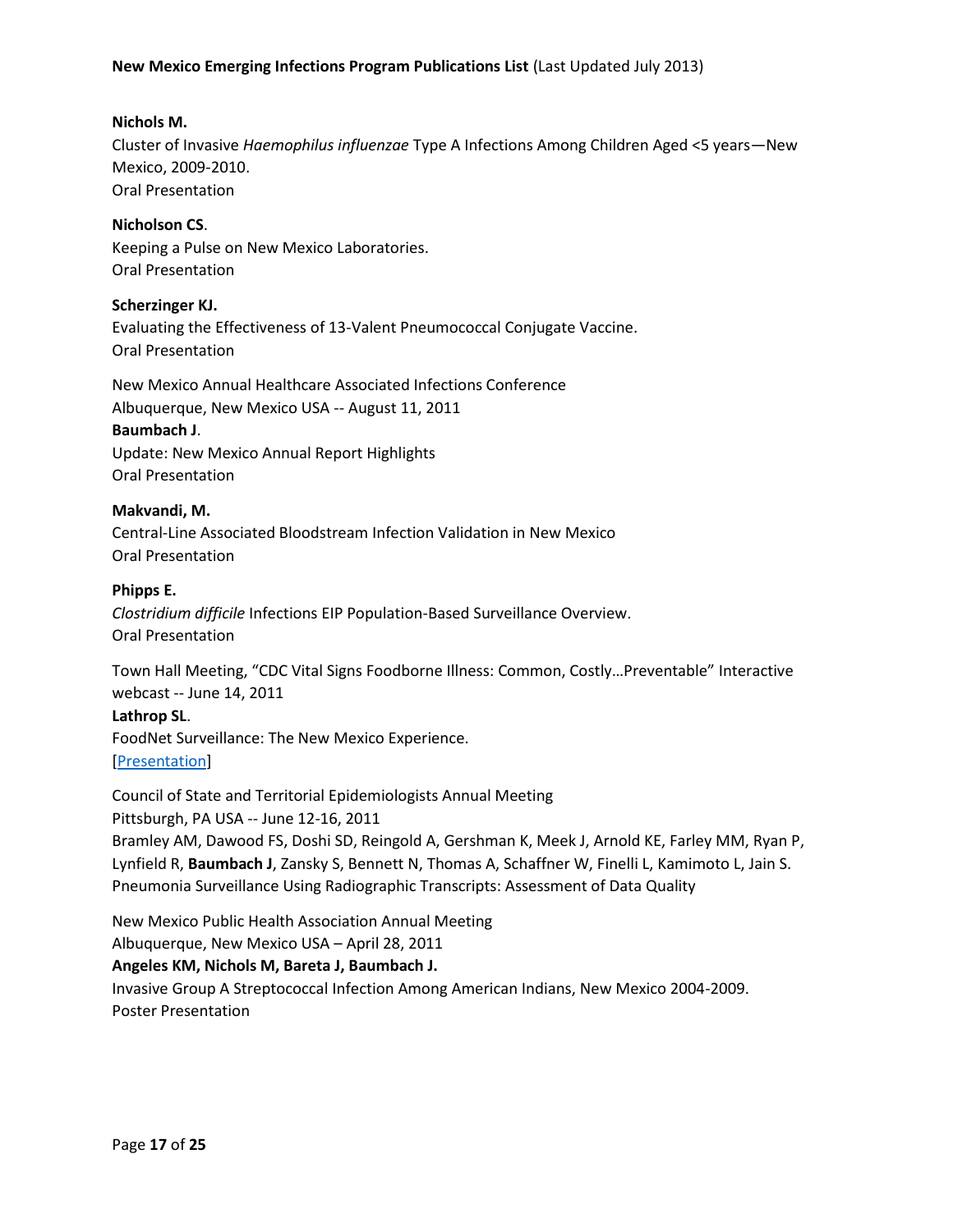## **Nichols M.**

Cluster of Invasive *Haemophilus influenzae* Type A Infections Among Children Aged <5 years—New Mexico, 2009-2010. Oral Presentation

**Nicholson CS**. Keeping a Pulse on New Mexico Laboratories. Oral Presentation

**Scherzinger KJ.** Evaluating the Effectiveness of 13-Valent Pneumococcal Conjugate Vaccine. Oral Presentation

New Mexico Annual Healthcare Associated Infections Conference Albuquerque, New Mexico USA -- August 11, 2011

#### **Baumbach J**.

Update: New Mexico Annual Report Highlights Oral Presentation

## **Makvandi, M.**

Central-Line Associated Bloodstream Infection Validation in New Mexico Oral Presentation

#### **Phipps E.**

*Clostridium difficile* Infections EIP Population-Based Surveillance Overview. Oral Presentation

Town Hall Meeting, "CDC Vital Signs Foodborne Illness: Common, Costly…Preventable" Interactive webcast -- June 14, 2011

#### **Lathrop SL**.

FoodNet Surveillance: The New Mexico Experience. [\[Presentation\]](http://www.cdc.gov/stltpublichealth/townhall/presentations/vs_foodillness6142011.pdf)

Council of State and Territorial Epidemiologists Annual Meeting Pittsburgh, PA USA -- June 12-16, 2011 Bramley AM, Dawood FS, Doshi SD, Reingold A, Gershman K, Meek J, Arnold KE, Farley MM, Ryan P, Lynfield R, **Baumbach J**, Zansky S, Bennett N, Thomas A, Schaffner W, Finelli L, Kamimoto L, Jain S. Pneumonia Surveillance Using Radiographic Transcripts: Assessment of Data Quality

New Mexico Public Health Association Annual Meeting

Albuquerque, New Mexico USA – April 28, 2011

#### **Angeles KM, Nichols M, Bareta J, Baumbach J.**

Invasive Group A Streptococcal Infection Among American Indians, New Mexico 2004-2009. Poster Presentation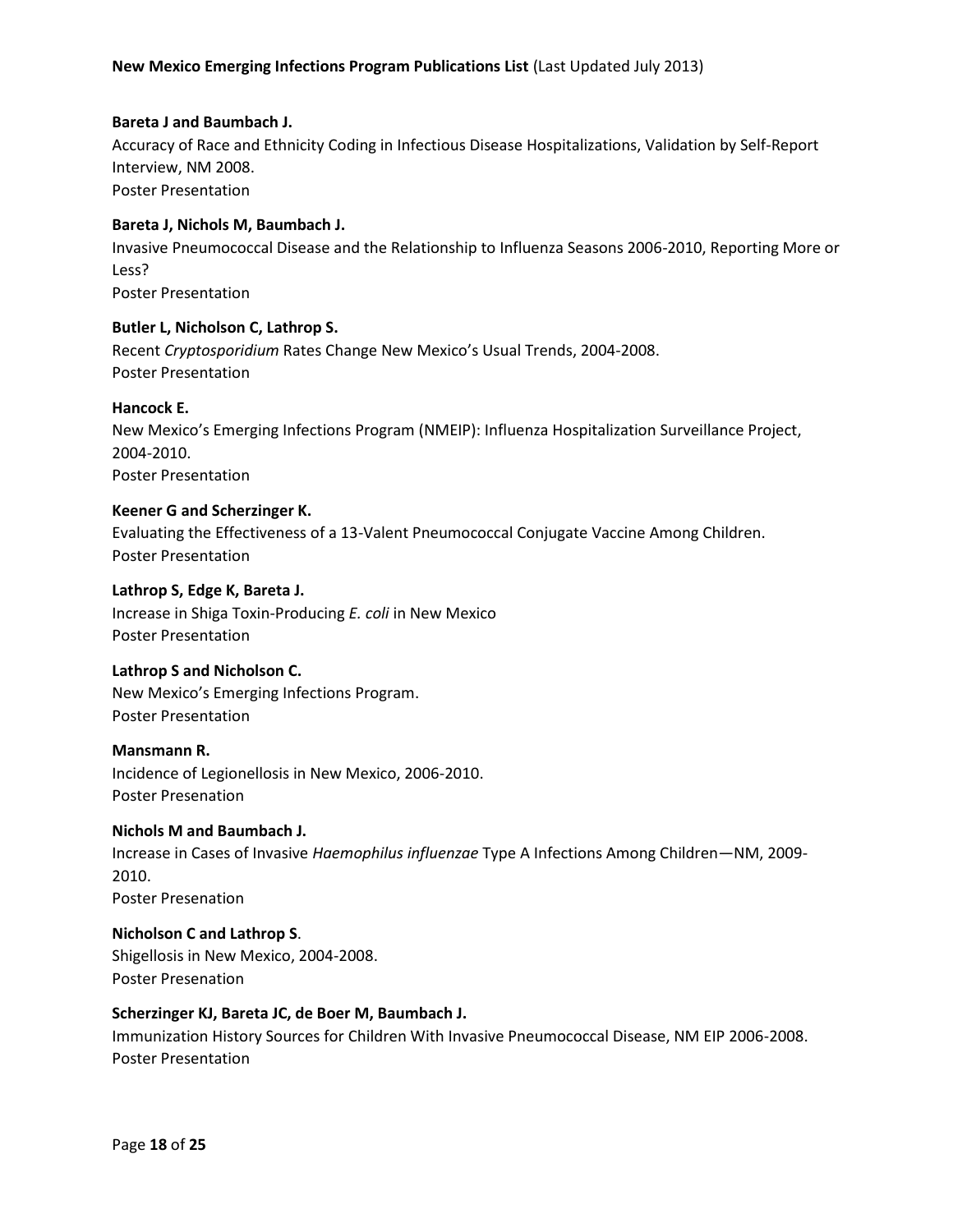#### **Bareta J and Baumbach J.**

Accuracy of Race and Ethnicity Coding in Infectious Disease Hospitalizations, Validation by Self-Report Interview, NM 2008. Poster Presentation

#### **Bareta J, Nichols M, Baumbach J.**

Invasive Pneumococcal Disease and the Relationship to Influenza Seasons 2006-2010, Reporting More or Less?

Poster Presentation

#### **Butler L, Nicholson C, Lathrop S.**

Recent *Cryptosporidium* Rates Change New Mexico's Usual Trends, 2004-2008. Poster Presentation

#### **Hancock E.**

New Mexico's Emerging Infections Program (NMEIP): Influenza Hospitalization Surveillance Project, 2004-2010. Poster Presentation

#### **Keener G and Scherzinger K.**

Evaluating the Effectiveness of a 13-Valent Pneumococcal Conjugate Vaccine Among Children. Poster Presentation

#### **Lathrop S, Edge K, Bareta J.**

Increase in Shiga Toxin-Producing *E. coli* in New Mexico Poster Presentation

#### **Lathrop S and Nicholson C.**

New Mexico's Emerging Infections Program. Poster Presentation

#### **Mansmann R.**

Incidence of Legionellosis in New Mexico, 2006-2010. Poster Presenation

#### **Nichols M and Baumbach J.**

Increase in Cases of Invasive *Haemophilus influenzae* Type A Infections Among Children—NM, 2009- 2010. Poster Presenation

# **Nicholson C and Lathrop S**.

Shigellosis in New Mexico, 2004-2008. Poster Presenation

#### **Scherzinger KJ, Bareta JC, de Boer M, Baumbach J.**

Immunization History Sources for Children With Invasive Pneumococcal Disease, NM EIP 2006-2008. Poster Presentation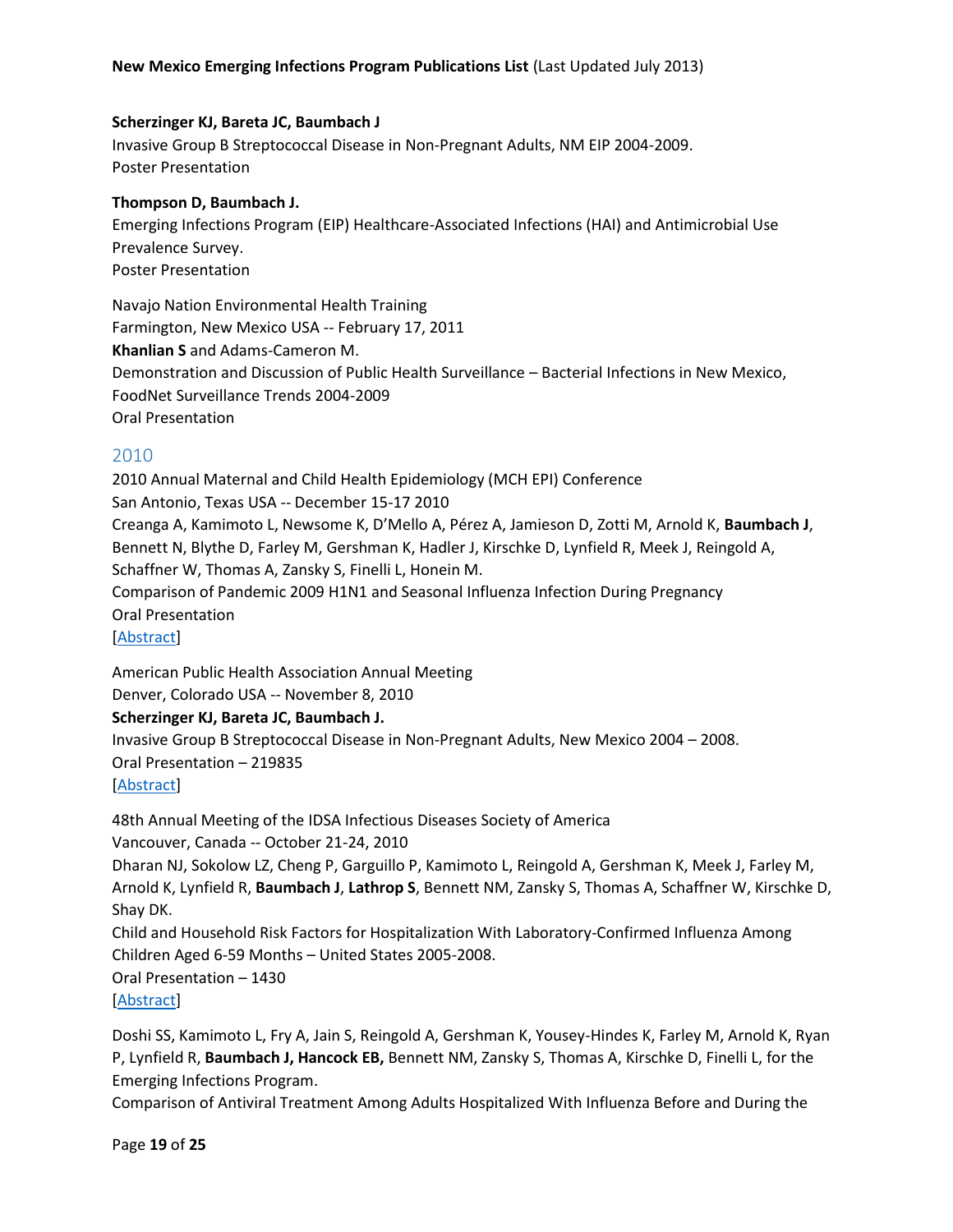#### **Scherzinger KJ, Bareta JC, Baumbach J**

Invasive Group B Streptococcal Disease in Non-Pregnant Adults, NM EIP 2004-2009. Poster Presentation

#### **Thompson D, Baumbach J.**

Emerging Infections Program (EIP) Healthcare-Associated Infections (HAI) and Antimicrobial Use Prevalence Survey. Poster Presentation

Navajo Nation Environmental Health Training Farmington, New Mexico USA -- February 17, 2011 **Khanlian S** and Adams-Cameron M. Demonstration and Discussion of Public Health Surveillance – Bacterial Infections in New Mexico, FoodNet Surveillance Trends 2004-2009 Oral Presentation

#### <span id="page-18-0"></span>2010

2010 Annual Maternal and Child Health Epidemiology (MCH EPI) Conference San Antonio, Texas USA -- December 15-17 2010 Creanga A, Kamimoto L, Newsome K, D'Mello A, Pérez A, Jamieson D, Zotti M, Arnold K, **Baumbach J**, Bennett N, Blythe D, Farley M, Gershman K, Hadler J, Kirschke D, Lynfield R, Meek J, Reingold A, Schaffner W, Thomas A, Zansky S, Finelli L, Honein M. Comparison of Pandemic 2009 H1N1 and Seasonal Influenza Infection During Pregnancy Oral Presentation [\[Abstract\]](http://webcast.hrsa.gov/conferences/mchb/mchepi2010/Program_Final.pdf)

American Public Health Association Annual Meeting Denver, Colorado USA -- November 8, 2010

#### **Scherzinger KJ, Bareta JC, Baumbach J.**

Invasive Group B Streptococcal Disease in Non-Pregnant Adults, New Mexico 2004 – 2008. Oral Presentation – 219835

[\[Abstract\]](https://apha.confex.com/apha/138am/webprogram/Paper219835.html)

48th Annual Meeting of the IDSA Infectious Diseases Society of America Vancouver, Canada -- October 21-24, 2010

Dharan NJ, Sokolow LZ, Cheng P, Garguillo P, Kamimoto L, Reingold A, Gershman K, Meek J, Farley M, Arnold K, Lynfield R, **Baumbach J**, **Lathrop S**, Bennett NM, Zansky S, Thomas A, Schaffner W, Kirschke D, Shay DK.

Child and Household Risk Factors for Hospitalization With Laboratory-Confirmed Influenza Among Children Aged 6-59 Months – United States 2005-2008.

Oral Presentation – 1430

[\[Abstract\]](https://idsa.confex.com/idsa/2010/webprogram/Paper3213.html)

Doshi SS, Kamimoto L, Fry A, Jain S, Reingold A, Gershman K, Yousey-Hindes K, Farley M, Arnold K, Ryan P, Lynfield R, **Baumbach J, Hancock EB,** Bennett NM, Zansky S, Thomas A, Kirschke D, Finelli L, for the Emerging Infections Program.

Comparison of Antiviral Treatment Among Adults Hospitalized With Influenza Before and During the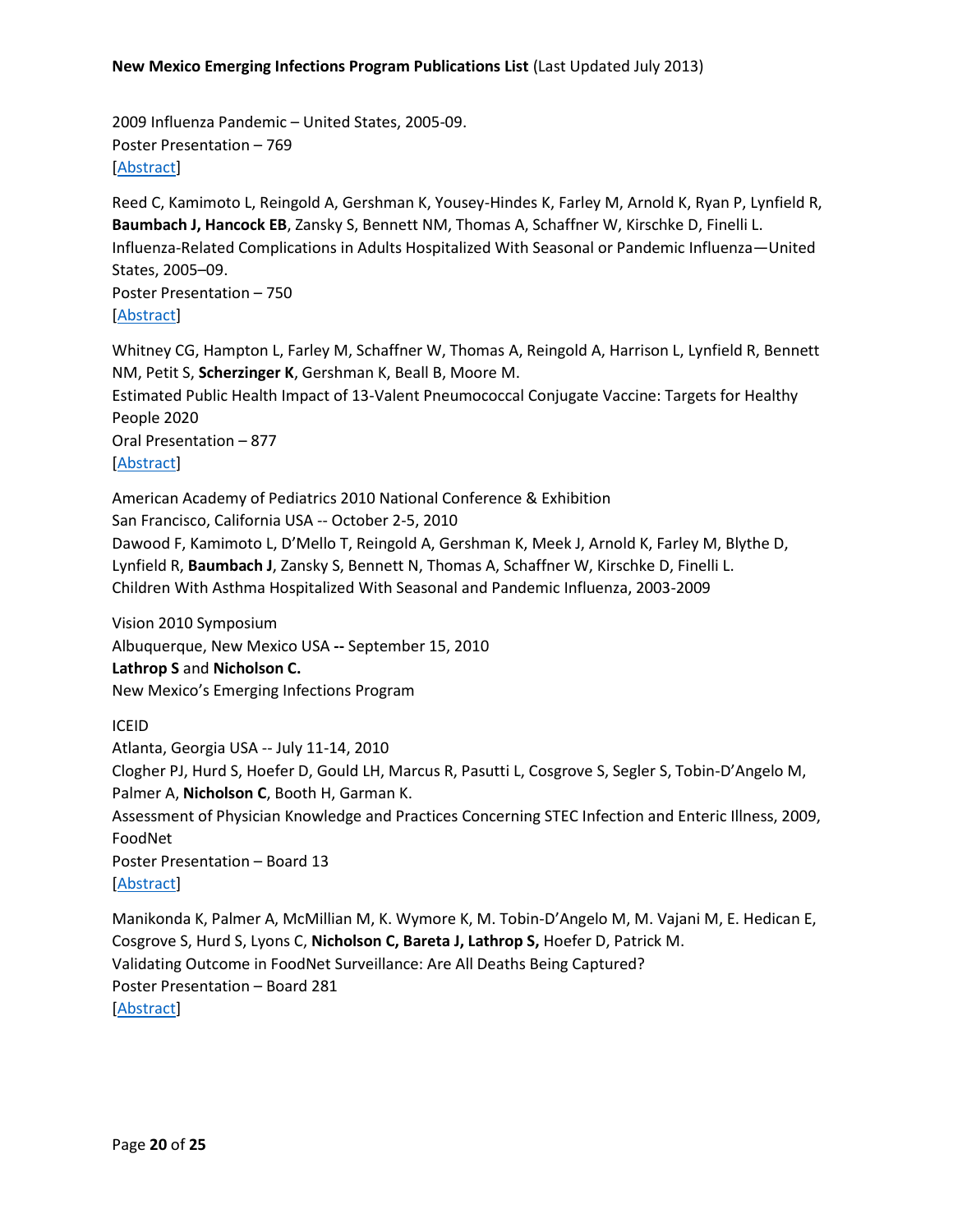2009 Influenza Pandemic – United States, 2005-09. Poster Presentation – 769 [\[Abstract\]](https://idsa.confex.com/idsa/2010/webprogram/Paper2684.html)

Reed C, Kamimoto L, Reingold A, Gershman K, Yousey-Hindes K, Farley M, Arnold K, Ryan P, Lynfield R, **Baumbach J, Hancock EB**, Zansky S, Bennett NM, Thomas A, Schaffner W, Kirschke D, Finelli L. Influenza-Related Complications in Adults Hospitalized With Seasonal or Pandemic Influenza—United States, 2005–09. Poster Presentation – 750

#### [\[Abstract\]](https://idsa.confex.com/idsa/2010/webprogram/Paper2861.html)

Whitney CG, Hampton L, Farley M, Schaffner W, Thomas A, Reingold A, Harrison L, Lynfield R, Bennett NM, Petit S, **Scherzinger K**, Gershman K, Beall B, Moore M. Estimated Public Health Impact of 13-Valent Pneumococcal Conjugate Vaccine: Targets for Healthy People 2020 Oral Presentation – 877

[\[Abstract\]](https://idsa.confex.com/idsa/2010/webprogram/Paper3277.html)

American Academy of Pediatrics 2010 National Conference & Exhibition

San Francisco, California USA -- October 2-5, 2010

Dawood F, Kamimoto L, D'Mello T, Reingold A, Gershman K, Meek J, Arnold K, Farley M, Blythe D, Lynfield R, **Baumbach J**, Zansky S, Bennett N, Thomas A, Schaffner W, Kirschke D, Finelli L. Children With Asthma Hospitalized With Seasonal and Pandemic Influenza, 2003-2009

Vision 2010 Symposium

Albuquerque, New Mexico USA **--** September 15, 2010

**Lathrop S** and **Nicholson C.**

New Mexico's Emerging Infections Program

ICEID

Atlanta, Georgia USA -- July 11-14, 2010

Clogher PJ, Hurd S, Hoefer D, Gould LH, Marcus R, Pasutti L, Cosgrove S, Segler S, Tobin-D'Angelo M, Palmer A, **Nicholson C**, Booth H, Garman K.

Assessment of Physician Knowledge and Practices Concerning STEC Infection and Enteric Illness, 2009, FoodNet

Poster Presentation – Board 13 [\[Abstract\]](http://www.iceid.org/images/stories/2010program.pdf)

Manikonda K, Palmer A, McMillian M, K. Wymore K, M. Tobin-D'Angelo M, M. Vajani M, E. Hedican E, Cosgrove S, Hurd S, Lyons C, **Nicholson C, Bareta J, Lathrop S,** Hoefer D, Patrick M. Validating Outcome in FoodNet Surveillance: Are All Deaths Being Captured? Poster Presentation – Board 281 [\[Abstract\]](http://www.iceid.org/images/stories/2010program.pdf)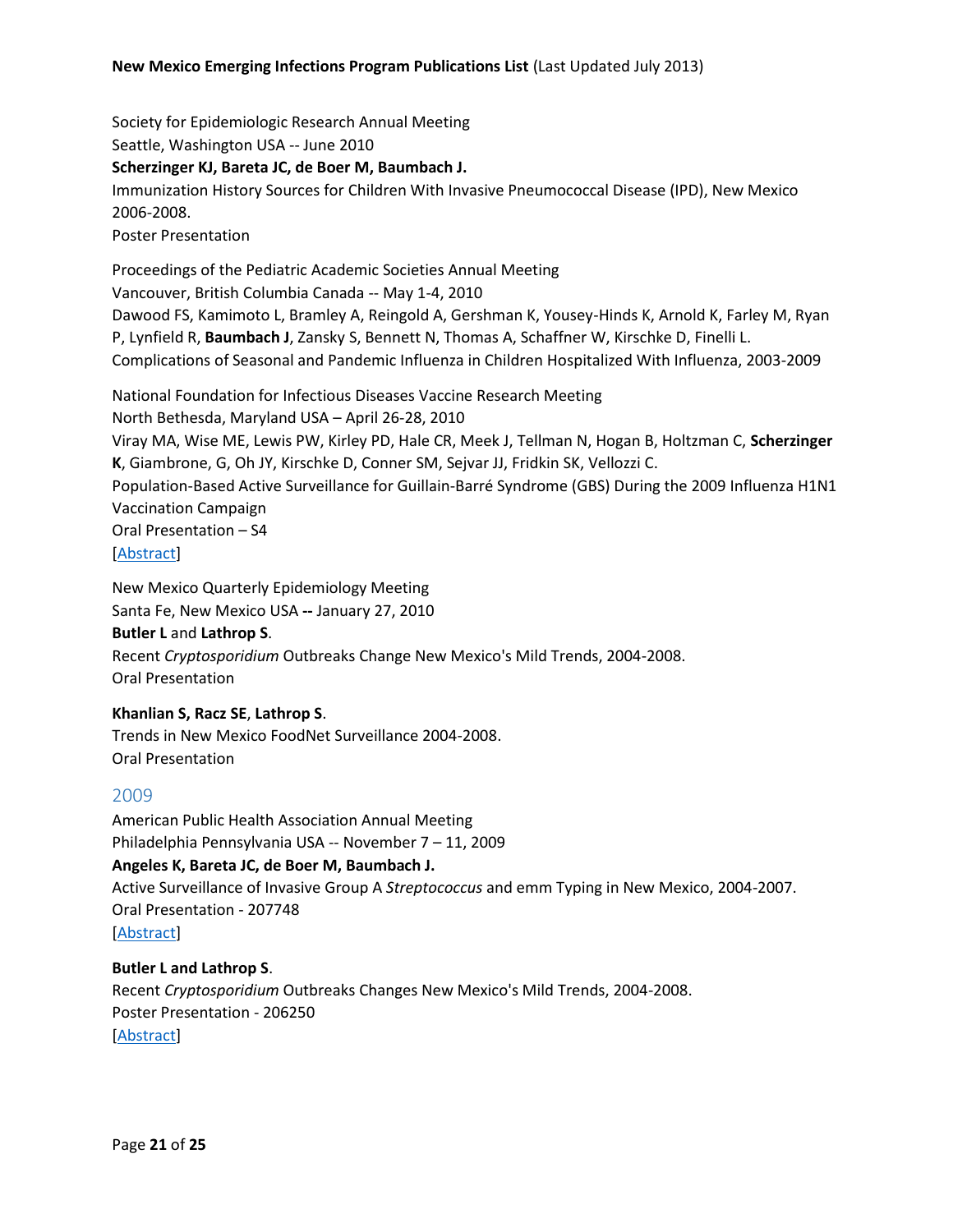Society for Epidemiologic Research Annual Meeting Seattle, Washington USA -- June 2010

**Scherzinger KJ, Bareta JC, de Boer M, Baumbach J.**

Immunization History Sources for Children With Invasive Pneumococcal Disease (IPD), New Mexico 2006-2008.

Poster Presentation

Proceedings of the Pediatric Academic Societies Annual Meeting Vancouver, British Columbia Canada -- May 1-4, 2010 Dawood FS, Kamimoto L, Bramley A, Reingold A, Gershman K, Yousey-Hinds K, Arnold K, Farley M, Ryan P, Lynfield R, **Baumbach J**, Zansky S, Bennett N, Thomas A, Schaffner W, Kirschke D, Finelli L. Complications of Seasonal and Pandemic Influenza in Children Hospitalized With Influenza, 2003-2009

National Foundation for Infectious Diseases Vaccine Research Meeting North Bethesda, Maryland USA – April 26-28, 2010 Viray MA, Wise ME, Lewis PW, Kirley PD, Hale CR, Meek J, Tellman N, Hogan B, Holtzman C, **Scherzinger K**, Giambrone, G, Oh JY, Kirschke D, Conner SM, Sejvar JJ, Fridkin SK, Vellozzi C. Population-Based Active Surveillance for Guillain-Barré Syndrome (GBS) During the 2009 Influenza H1N1 Vaccination Campaign Oral Presentation – S4 [\[Abstract\]](http://www.nfid.org/professional-education/archives/acvr/acvr10.pdf)

New Mexico Quarterly Epidemiology Meeting Santa Fe, New Mexico USA **--** January 27, 2010

#### **Butler L** and **Lathrop S**.

Recent *Cryptosporidium* Outbreaks Change New Mexico's Mild Trends, 2004-2008. Oral Presentation

#### **Khanlian S, Racz SE**, **Lathrop S**.

Trends in New Mexico FoodNet Surveillance 2004-2008. Oral Presentation

# <span id="page-20-0"></span>2009

American Public Health Association Annual Meeting Philadelphia Pennsylvania USA -- November 7 – 11, 2009 **Angeles K, Bareta JC, de Boer M, Baumbach J.**  Active Surveillance of Invasive Group A *Streptococcus* and emm Typing in New Mexico, 2004-2007. Oral Presentation - 207748

[\[Abstract\]](https://apha.confex.com/apha/137am/webprogram/Paper207748.html)

#### **Butler L and Lathrop S**.

Recent *Cryptosporidium* Outbreaks Changes New Mexico's Mild Trends, 2004-2008. Poster Presentation - 206250 [\[Abstract\]](https://apha.confex.com/apha/137am/webprogram/Paper206250.html)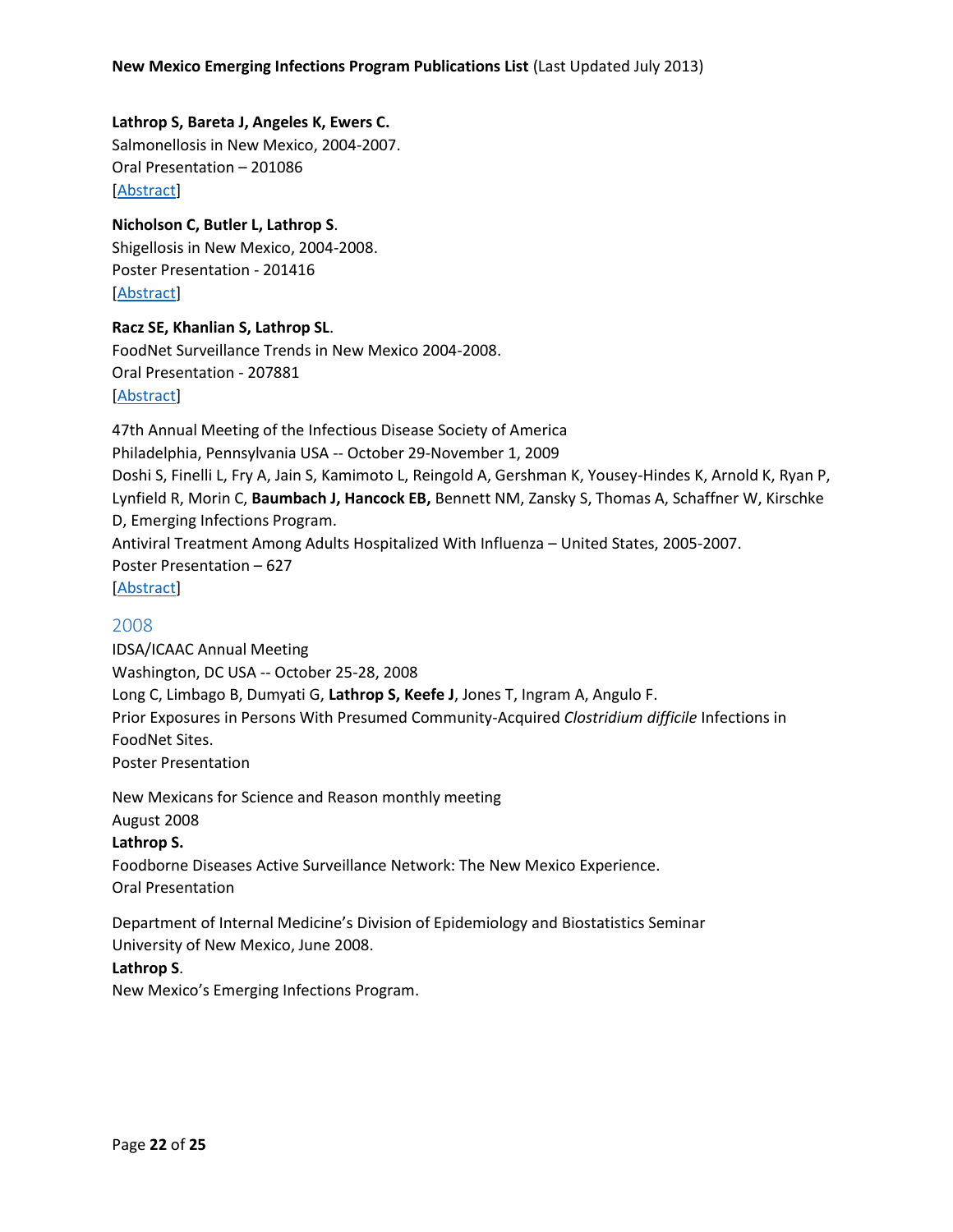# **Lathrop S, Bareta J, Angeles K, Ewers C.**  Salmonellosis in New Mexico, 2004-2007. Oral Presentation – 201086 [\[Abstract\]](https://apha.confex.com/apha/137am/webprogram/Paper201086.html)

**Nicholson C, Butler L, Lathrop S**. Shigellosis in New Mexico, 2004-2008. Poster Presentation - 201416 [\[Abstract\]](https://apha.confex.com/apha/137am/webprogram/Paper201416.html)

# **Racz SE, Khanlian S, Lathrop SL**. FoodNet Surveillance Trends in New Mexico 2004-2008. Oral Presentation - 207881 [\[Abstract\]](https://apha.confex.com/apha/137am/webprogram/Paper207881.html)

47th Annual Meeting of the Infectious Disease Society of America Philadelphia, Pennsylvania USA -- October 29-November 1, 2009 Doshi S, Finelli L, Fry A, Jain S, Kamimoto L, Reingold A, Gershman K, Yousey-Hindes K, Arnold K, Ryan P, Lynfield R, Morin C, **Baumbach J, Hancock EB,** Bennett NM, Zansky S, Thomas A, Schaffner W, Kirschke D, Emerging Infections Program. Antiviral Treatment Among Adults Hospitalized With Influenza – United States, 2005-2007. Poster Presentation – 627 [\[Abstract\]](http://www.abstractsonline.com/Plan/ViewAbstract.aspx?mID=2410&sKey=cfbf038a-afe8-4d46-8a07-a027cb50964a&cKey=11c7ef66-1d4f-4a54-99cf-ea202390be60&mKey=%7bCE51AF27-8278-4705-80EA-9B03F7B53097%7d)

# <span id="page-21-0"></span>2008

IDSA/ICAAC Annual Meeting Washington, DC USA -- October 25-28, 2008 Long C, Limbago B, Dumyati G, **Lathrop S, Keefe J**, Jones T, Ingram A, Angulo F. Prior Exposures in Persons With Presumed Community-Acquired *Clostridium difficile* Infections in FoodNet Sites. Poster Presentation

New Mexicans for Science and Reason monthly meeting August 2008 **Lathrop S.**

Foodborne Diseases Active Surveillance Network: The New Mexico Experience. Oral Presentation

Department of Internal Medicine's Division of Epidemiology and Biostatistics Seminar University of New Mexico, June 2008.

# **Lathrop S**.

New Mexico's Emerging Infections Program.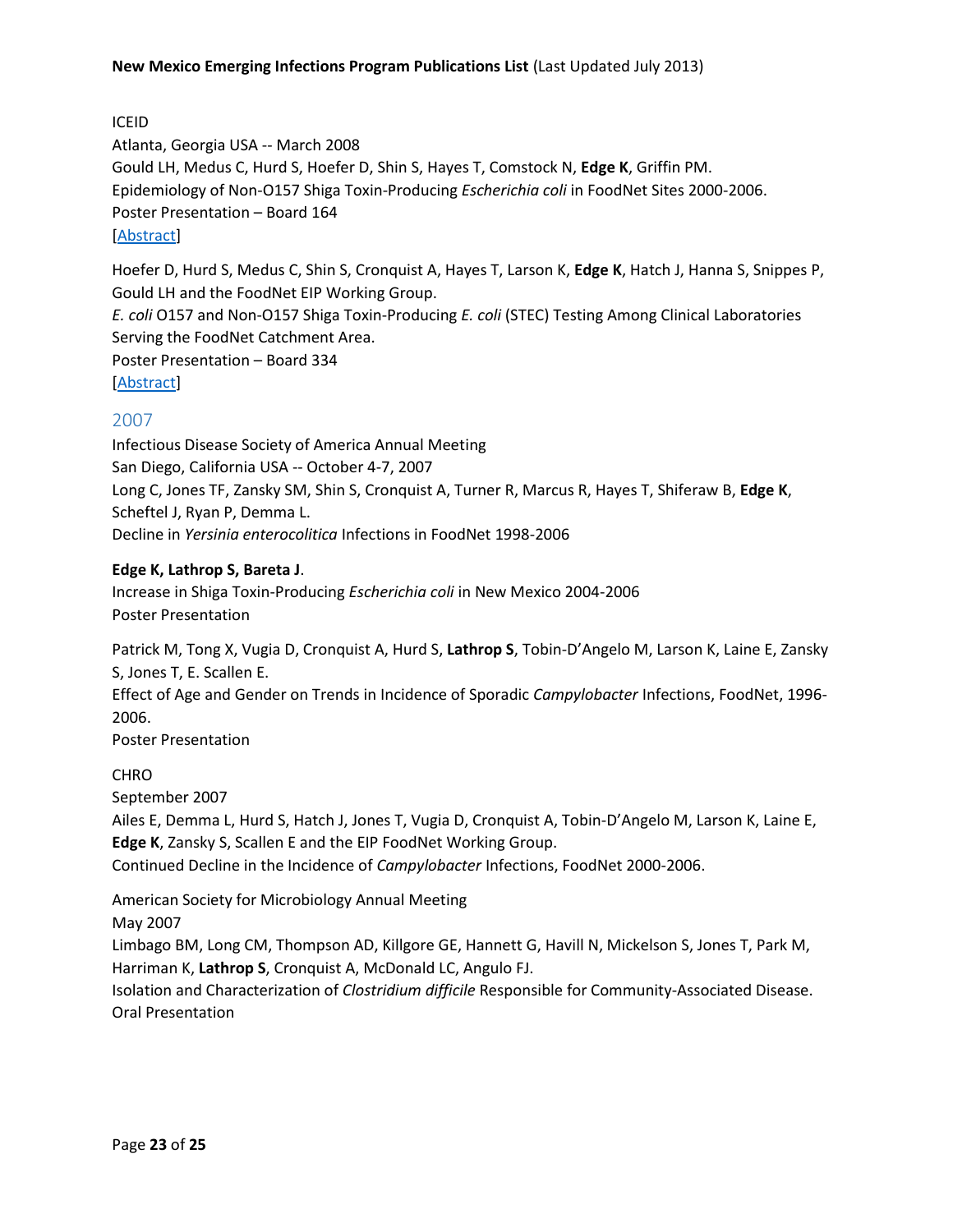ICEID Atlanta, Georgia USA -- March 2008 Gould LH, Medus C, Hurd S, Hoefer D, Shin S, Hayes T, Comstock N, **Edge K**, Griffin PM. Epidemiology of Non-O157 Shiga Toxin-Producing *Escherichia coli* in FoodNet Sites 2000-2006. Poster Presentation – Board 164 [\[Abstract\]](http://www.iceid.org/images/stories/2008program.pdf)

Hoefer D, Hurd S, Medus C, Shin S, Cronquist A, Hayes T, Larson K, **Edge K**, Hatch J, Hanna S, Snippes P, Gould LH and the FoodNet EIP Working Group. *E. coli* O157 and Non-O157 Shiga Toxin-Producing *E. coli* (STEC) Testing Among Clinical Laboratories Serving the FoodNet Catchment Area. Poster Presentation – Board 334 [\[Abstract\]](http://www.iceid.org/images/stories/2008program.pdf)

# <span id="page-22-0"></span>2007

Infectious Disease Society of America Annual Meeting San Diego, California USA -- October 4-7, 2007 Long C, Jones TF, Zansky SM, Shin S, Cronquist A, Turner R, Marcus R, Hayes T, Shiferaw B, **Edge K**, Scheftel J, Ryan P, Demma L. Decline in *Yersinia enterocolitica* Infections in FoodNet 1998-2006

#### **Edge K, Lathrop S, Bareta J**.

Increase in Shiga Toxin-Producing *Escherichia coli* in New Mexico 2004-2006 Poster Presentation

Patrick M, Tong X, Vugia D, Cronquist A, Hurd S, **Lathrop S**, Tobin-D'Angelo M, Larson K, Laine E, Zansky S, Jones T, E. Scallen E.

Effect of Age and Gender on Trends in Incidence of Sporadic *Campylobacter* Infections, FoodNet, 1996- 2006.

Poster Presentation

**CHRO** 

September 2007

Ailes E, Demma L, Hurd S, Hatch J, Jones T, Vugia D, Cronquist A, Tobin-D'Angelo M, Larson K, Laine E, **Edge K**, Zansky S, Scallen E and the EIP FoodNet Working Group.

Continued Decline in the Incidence of *Campylobacter* Infections, FoodNet 2000-2006.

American Society for Microbiology Annual Meeting

May 2007

Limbago BM, Long CM, Thompson AD, Killgore GE, Hannett G, Havill N, Mickelson S, Jones T, Park M, Harriman K, **Lathrop S**, Cronquist A, McDonald LC, Angulo FJ.

Isolation and Characterization of *Clostridium difficile* Responsible for Community-Associated Disease. Oral Presentation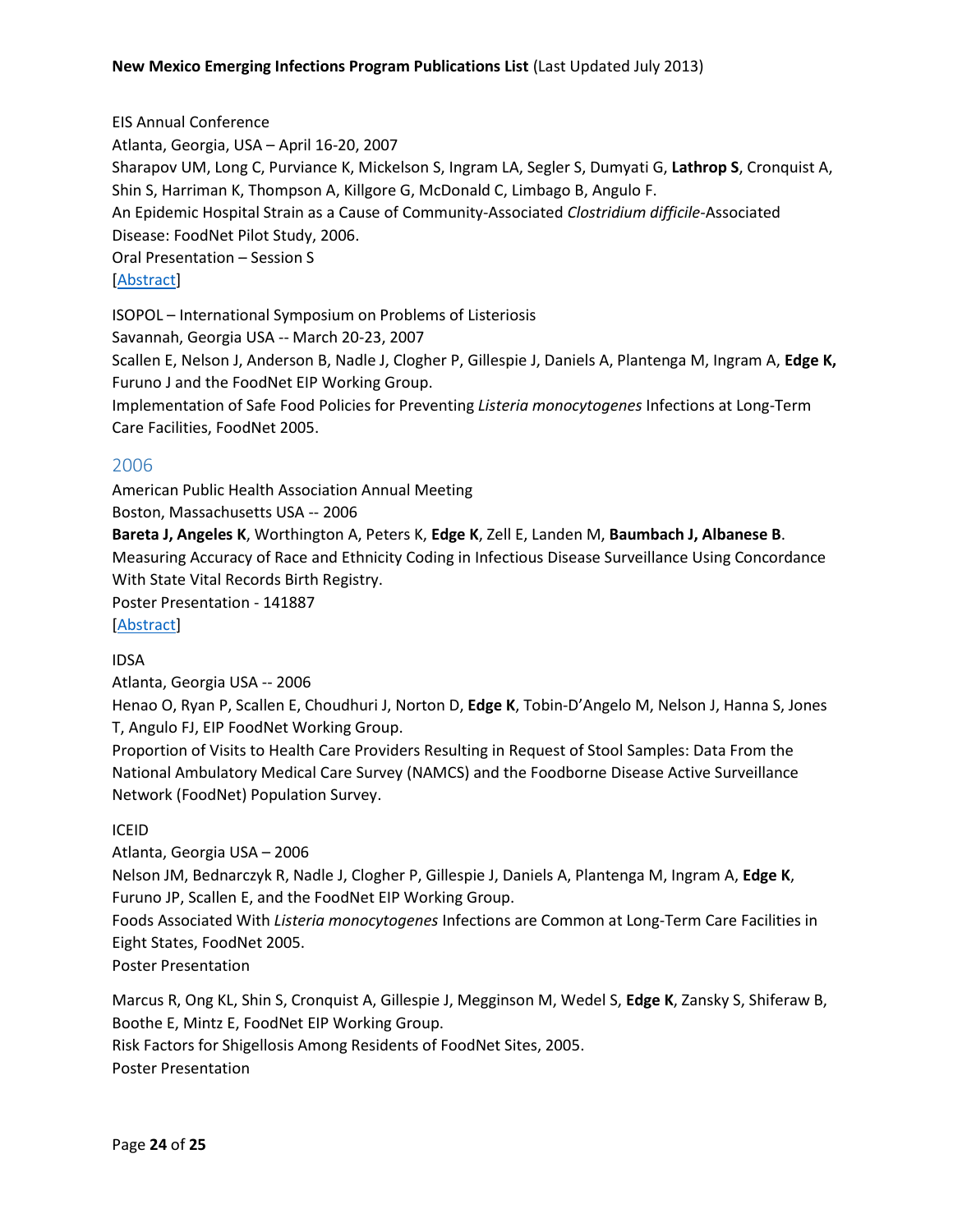EIS Annual Conference Atlanta, Georgia, USA – April 16-20, 2007 Sharapov UM, Long C, Purviance K, Mickelson S, Ingram LA, Segler S, Dumyati G, **Lathrop S**, Cronquist A, Shin S, Harriman K, Thompson A, Killgore G, McDonald C, Limbago B, Angulo F. An Epidemic Hospital Strain as a Cause of Community-Associated *Clostridium difficile-*Associated Disease: FoodNet Pilot Study, 2006. Oral Presentation – Session S [\[Abstract\]](http://www.cdc.gov/eis/downloads/2007.EIS.Conference.pdf) ISOPOL – International Symposium on Problems of Listeriosis Savannah, Georgia USA -- March 20-23, 2007

Scallen E, Nelson J, Anderson B, Nadle J, Clogher P, Gillespie J, Daniels A, Plantenga M, Ingram A, **Edge K,** Furuno J and the FoodNet EIP Working Group.

Implementation of Safe Food Policies for Preventing *Listeria monocytogenes* Infections at Long-Term Care Facilities, FoodNet 2005.

# <span id="page-23-0"></span>2006

American Public Health Association Annual Meeting Boston, Massachusetts USA -- 2006

**Bareta J, Angeles K**, Worthington A, Peters K, **Edge K**, Zell E, Landen M, **Baumbach J, Albanese B**. Measuring Accuracy of Race and Ethnicity Coding in Infectious Disease Surveillance Using Concordance With State Vital Records Birth Registry.

Poster Presentation - 141887

[\[Abstract\]](https://apha.confex.com/apha/134am/techprogram/paper_141887.htm)

#### IDSA

Atlanta, Georgia USA -- 2006

Henao O, Ryan P, Scallen E, Choudhuri J, Norton D, **Edge K**, Tobin-D'Angelo M, Nelson J, Hanna S, Jones T, Angulo FJ, EIP FoodNet Working Group.

Proportion of Visits to Health Care Providers Resulting in Request of Stool Samples: Data From the National Ambulatory Medical Care Survey (NAMCS) and the Foodborne Disease Active Surveillance Network (FoodNet) Population Survey.

#### ICEID

Atlanta, Georgia USA – 2006

Nelson JM, Bednarczyk R, Nadle J, Clogher P, Gillespie J, Daniels A, Plantenga M, Ingram A, **Edge K**, Furuno JP, Scallen E, and the FoodNet EIP Working Group.

Foods Associated With *Listeria monocytogenes* Infections are Common at Long-Term Care Facilities in Eight States, FoodNet 2005.

Poster Presentation

Marcus R, Ong KL, Shin S, Cronquist A, Gillespie J, Megginson M, Wedel S, **Edge K**, Zansky S, Shiferaw B, Boothe E, Mintz E, FoodNet EIP Working Group. Risk Factors for Shigellosis Among Residents of FoodNet Sites, 2005. Poster Presentation